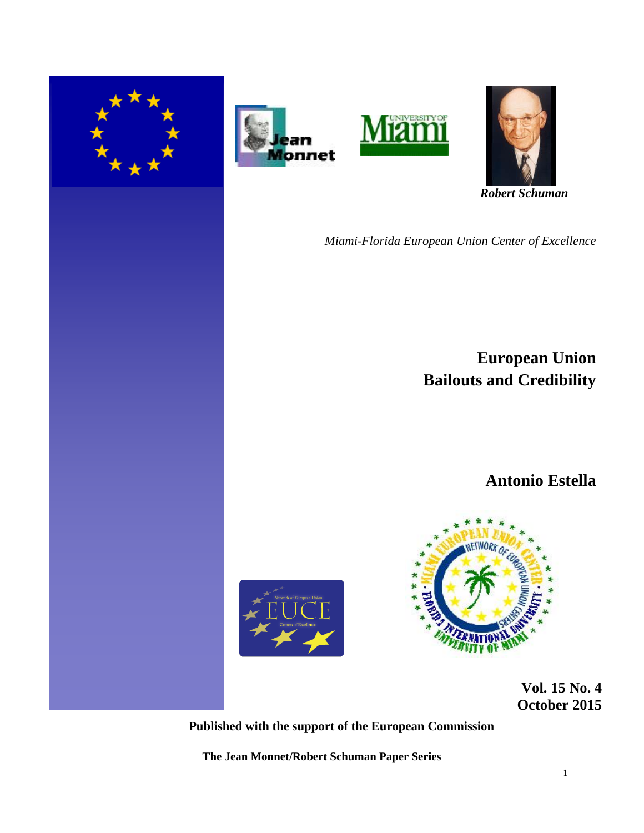







 *Robert Schuman* 

*Miami-Florida European Union Center of Excellence*

**European Union Bailouts and Credibility**

**Antonio Estella**





 **Vol. 15 No. 4 October 2015** 

**Published with the support of the European Commission**

**The Jean Monnet/Robert Schuman Paper Series**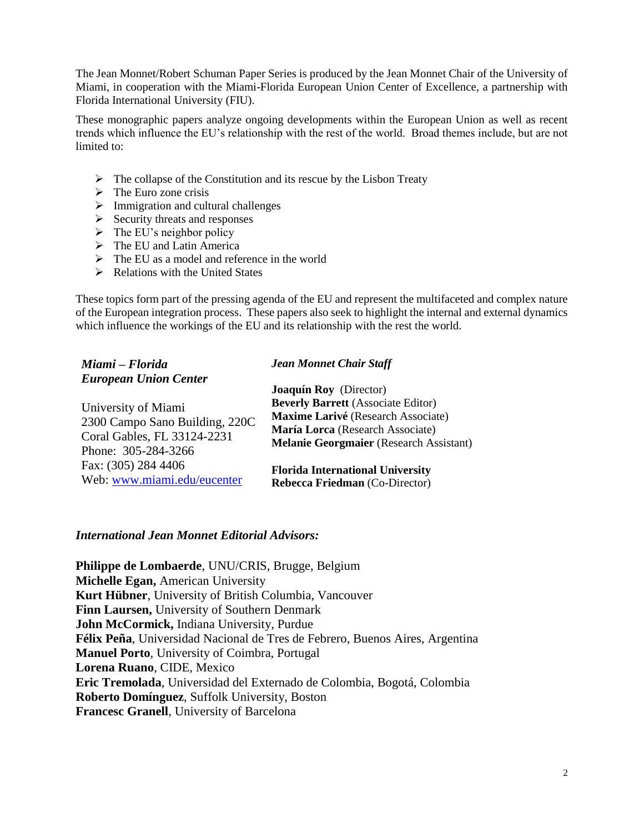The Jean Monnet/Robert Schuman Paper Series is produced by the Jean Monnet Chair of the University of Miami, in cooperation with the Miami-Florida European Union Center of Excellence, a partnership with Florida International University (FIU).

These monographic papers analyze ongoing developments within the European Union as well as recent trends which influence the EU's relationship with the rest of the world. Broad themes include, but are not limited to:

- $\triangleright$  The collapse of the Constitution and its rescue by the Lisbon Treaty
- $\triangleright$  The Euro zone crisis
- $\triangleright$  Immigration and cultural challenges
- $\triangleright$  Security threats and responses
- $\triangleright$  The EU's neighbor policy
- $\triangleright$  The EU and Latin America
- $\triangleright$  The EU as a model and reference in the world
- $\triangleright$  Relations with the United States

These topics form part of the pressing agenda of the EU and represent the multifaceted and complex nature of the European integration process. These papers also seek to highlight the internal and external dynamics which influence the workings of the EU and its relationship with the rest the world.

| Miami - Florida                | <b>Jean Monnet Chair Staff</b>                 |  |
|--------------------------------|------------------------------------------------|--|
| <b>European Union Center</b>   |                                                |  |
|                                | <b>Joaquín Roy</b> (Director)                  |  |
| University of Miami            | <b>Beverly Barrett</b> (Associate Editor)      |  |
| 2300 Campo Sano Building, 220C | Maxime Larivé (Research Associate)             |  |
|                                | María Lorca (Research Associate)               |  |
| Coral Gables, FL 33124-2231    | <b>Melanie Georgmaier</b> (Research Assistant) |  |
| Phone: 305-284-3266            |                                                |  |
| Fax: (305) 284 4406            | <b>Florida International University</b>        |  |
| Web: www.miami.edu/eucenter    | Rebecca Friedman (Co-Director)                 |  |

# *International Jean Monnet Editorial Advisors:*

**Philippe de Lombaerde**, UNU/CRIS, Brugge, Belgium **Michelle Egan,** American University **Kurt Hübner**, University of British Columbia, Vancouver **Finn Laursen,** University of Southern Denmark **John McCormick,** Indiana University, Purdue **Félix Peña**, Universidad Nacional de Tres de Febrero, Buenos Aires, Argentina **Manuel Porto**, University of Coimbra, Portugal **Lorena Ruano**, CIDE, Mexico **Eric Tremolada**, Universidad del Externado de Colombia, Bogotá, Colombia **Roberto Domínguez**, Suffolk University, Boston **Francesc Granell**, University of Barcelona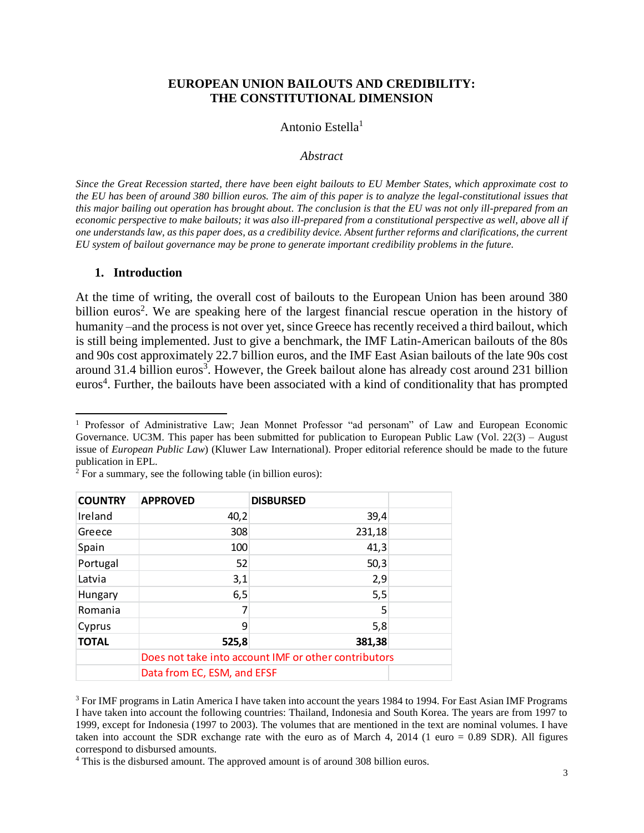#### **EUROPEAN UNION BAILOUTS AND CREDIBILITY: THE CONSTITUTIONAL DIMENSION**

#### Antonio Estella<sup>1</sup>

#### *Abstract*

*Since the Great Recession started, there have been eight bailouts to EU Member States, which approximate cost to the EU has been of around 380 billion euros. The aim of this paper is to analyze the legal-constitutional issues that this major bailing out operation has brought about. The conclusion is that the EU was not only ill-prepared from an economic perspective to make bailouts; it was also ill-prepared from a constitutional perspective as well, above all if one understands law, as this paper does, as a credibility device. Absent further reforms and clarifications, the current EU system of bailout governance may be prone to generate important credibility problems in the future.*

#### **1. Introduction**

l

At the time of writing, the overall cost of bailouts to the European Union has been around 380 billion euros<sup>2</sup>. We are speaking here of the largest financial rescue operation in the history of humanity –and the process is not over yet, since Greece has recently received a third bailout, which is still being implemented. Just to give a benchmark, the IMF Latin-American bailouts of the 80s and 90s cost approximately 22.7 billion euros, and the IMF East Asian bailouts of the late 90s cost around 31.4 billion euros<sup>3</sup>. However, the Greek bailout alone has already cost around 231 billion euros<sup>4</sup>. Further, the bailouts have been associated with a kind of conditionality that has prompted

<sup>1</sup> Professor of Administrative Law; Jean Monnet Professor "ad personam" of Law and European Economic Governance. UC3M. This paper has been submitted for publication to European Public Law (Vol. 22(3) – August issue of *European Public Law*) (Kluwer Law International). Proper editorial reference should be made to the future publication in EPL.

| <b>COUNTRY</b> | <b>APPROVED</b>                                      | <b>DISBURSED</b>                                                                                                                                                                                                                                                                                                                                                                                                                                                                   |  |
|----------------|------------------------------------------------------|------------------------------------------------------------------------------------------------------------------------------------------------------------------------------------------------------------------------------------------------------------------------------------------------------------------------------------------------------------------------------------------------------------------------------------------------------------------------------------|--|
| Ireland        | 40,2                                                 | 39,4                                                                                                                                                                                                                                                                                                                                                                                                                                                                               |  |
| Greece         | 308                                                  | 231,18                                                                                                                                                                                                                                                                                                                                                                                                                                                                             |  |
| Spain          | 100                                                  | 41,3                                                                                                                                                                                                                                                                                                                                                                                                                                                                               |  |
| Portugal       | 52                                                   | 50,3                                                                                                                                                                                                                                                                                                                                                                                                                                                                               |  |
| Latvia         | 3,1                                                  | 2,9                                                                                                                                                                                                                                                                                                                                                                                                                                                                                |  |
| <b>Hungary</b> | 6,5                                                  | 5,5                                                                                                                                                                                                                                                                                                                                                                                                                                                                                |  |
| Romania        | 7                                                    | 5                                                                                                                                                                                                                                                                                                                                                                                                                                                                                  |  |
| Cyprus         | 9                                                    | 5,8                                                                                                                                                                                                                                                                                                                                                                                                                                                                                |  |
| <b>TOTAL</b>   | 525,8                                                | 381,38                                                                                                                                                                                                                                                                                                                                                                                                                                                                             |  |
|                | Does not take into account IMF or other contributors |                                                                                                                                                                                                                                                                                                                                                                                                                                                                                    |  |
|                | Data from EC, ESM, and EFSF                          |                                                                                                                                                                                                                                                                                                                                                                                                                                                                                    |  |
|                | correspond to disbursed amounts.                     | <sup>3</sup> For IMF programs in Latin America I have taken into account the years 1984 to 1994. For<br>I have taken into account the following countries: Thailand, Indonesia and South Korea.<br>1999, except for Indonesia (1997 to 2003). The volumes that are mentioned in the text a<br>taken into account the SDR exchange rate with the euro as of March 4, 2014 (1 euro<br><sup>4</sup> This is the disbursed amount. The approved amount is of around 308 billion euros. |  |

 $2$  For a summary, see the following table (in billion euros):

<sup>3</sup> For IMF programs in Latin America I have taken into account the years 1984 to 1994. For East Asian IMF Programs I have taken into account the following countries: Thailand, Indonesia and South Korea. The years are from 1997 to 1999, except for Indonesia (1997 to 2003). The volumes that are mentioned in the text are nominal volumes. I have taken into account the SDR exchange rate with the euro as of March 4, 2014 (1 euro = 0.89 SDR). All figures correspond to disbursed amounts.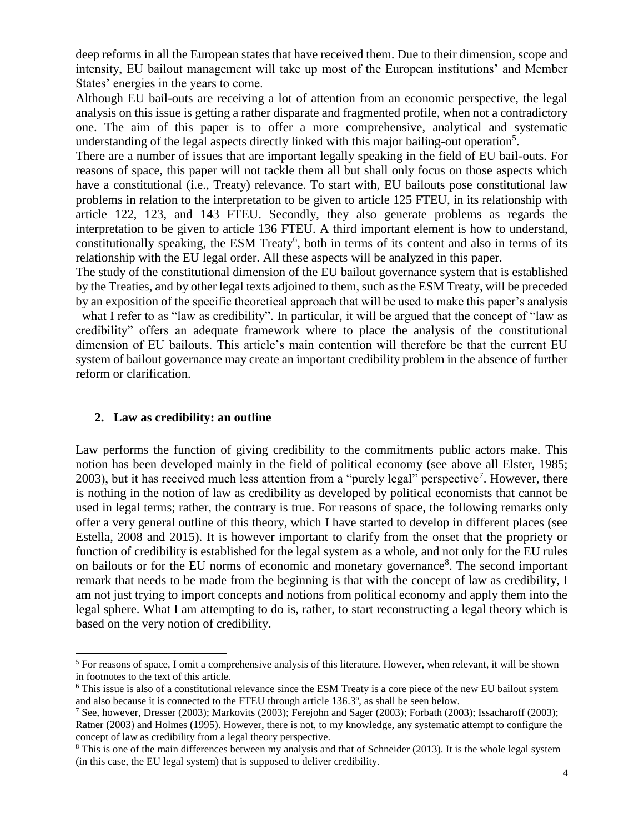deep reforms in all the European states that have received them. Due to their dimension, scope and intensity, EU bailout management will take up most of the European institutions' and Member States' energies in the years to come.

Although EU bail-outs are receiving a lot of attention from an economic perspective, the legal analysis on this issue is getting a rather disparate and fragmented profile, when not a contradictory one. The aim of this paper is to offer a more comprehensive, analytical and systematic understanding of the legal aspects directly linked with this major bailing-out operation<sup>5</sup>.

There are a number of issues that are important legally speaking in the field of EU bail-outs. For reasons of space, this paper will not tackle them all but shall only focus on those aspects which have a constitutional (i.e., Treaty) relevance. To start with, EU bailouts pose constitutional law problems in relation to the interpretation to be given to article 125 FTEU, in its relationship with article 122, 123, and 143 FTEU. Secondly, they also generate problems as regards the interpretation to be given to article 136 FTEU. A third important element is how to understand, constitutionally speaking, the ESM Treaty<sup>6</sup>, both in terms of its content and also in terms of its relationship with the EU legal order. All these aspects will be analyzed in this paper.

The study of the constitutional dimension of the EU bailout governance system that is established by the Treaties, and by other legal texts adjoined to them, such as the ESM Treaty, will be preceded by an exposition of the specific theoretical approach that will be used to make this paper's analysis –what I refer to as "law as credibility". In particular, it will be argued that the concept of "law as credibility" offers an adequate framework where to place the analysis of the constitutional dimension of EU bailouts. This article's main contention will therefore be that the current EU system of bailout governance may create an important credibility problem in the absence of further reform or clarification.

# **2. Law as credibility: an outline**

 $\overline{a}$ 

Law performs the function of giving credibility to the commitments public actors make. This notion has been developed mainly in the field of political economy (see above all Elster, 1985; 2003), but it has received much less attention from a "purely legal" perspective<sup>7</sup>. However, there is nothing in the notion of law as credibility as developed by political economists that cannot be used in legal terms; rather, the contrary is true. For reasons of space, the following remarks only offer a very general outline of this theory, which I have started to develop in different places (see Estella, 2008 and 2015). It is however important to clarify from the onset that the propriety or function of credibility is established for the legal system as a whole, and not only for the EU rules on bailouts or for the EU norms of economic and monetary governance<sup>8</sup>. The second important remark that needs to be made from the beginning is that with the concept of law as credibility, I am not just trying to import concepts and notions from political economy and apply them into the legal sphere. What I am attempting to do is, rather, to start reconstructing a legal theory which is based on the very notion of credibility.

<sup>5</sup> For reasons of space, I omit a comprehensive analysis of this literature. However, when relevant, it will be shown in footnotes to the text of this article.

<sup>6</sup> This issue is also of a constitutional relevance since the ESM Treaty is a core piece of the new EU bailout system and also because it is connected to the FTEU through article 136.3º, as shall be seen below.

<sup>&</sup>lt;sup>7</sup> See, however, Dresser (2003); Markovits (2003); Ferejohn and Sager (2003); Forbath (2003); Issacharoff (2003); Ratner (2003) and Holmes (1995). However, there is not, to my knowledge, any systematic attempt to configure the concept of law as credibility from a legal theory perspective.

<sup>&</sup>lt;sup>8</sup> This is one of the main differences between my analysis and that of Schneider (2013). It is the whole legal system (in this case, the EU legal system) that is supposed to deliver credibility.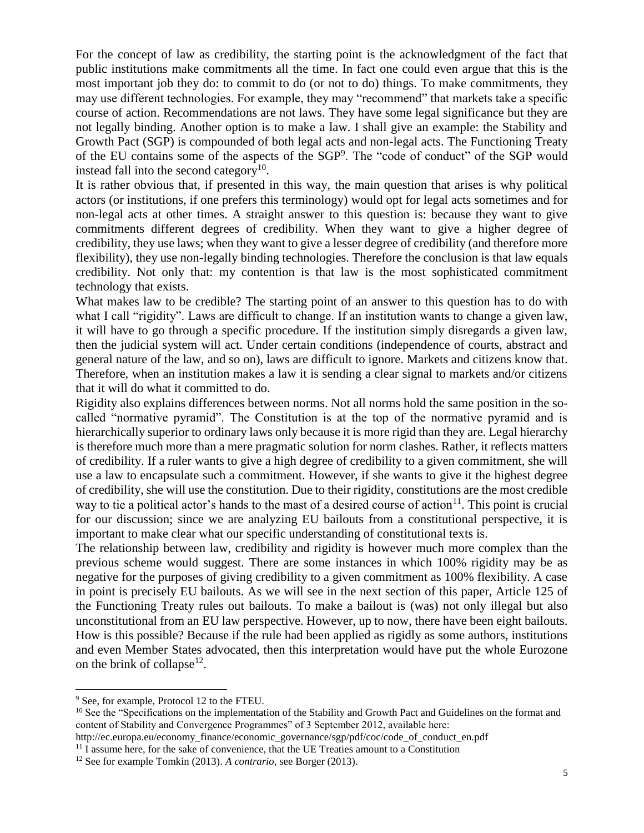For the concept of law as credibility, the starting point is the acknowledgment of the fact that public institutions make commitments all the time. In fact one could even argue that this is the most important job they do: to commit to do (or not to do) things. To make commitments, they may use different technologies. For example, they may "recommend" that markets take a specific course of action. Recommendations are not laws. They have some legal significance but they are not legally binding. Another option is to make a law. I shall give an example: the Stability and Growth Pact (SGP) is compounded of both legal acts and non-legal acts. The Functioning Treaty of the EU contains some of the aspects of the SGP<sup>9</sup>. The "code of conduct" of the SGP would instead fall into the second category $10$ .

It is rather obvious that, if presented in this way, the main question that arises is why political actors (or institutions, if one prefers this terminology) would opt for legal acts sometimes and for non-legal acts at other times. A straight answer to this question is: because they want to give commitments different degrees of credibility. When they want to give a higher degree of credibility, they use laws; when they want to give a lesser degree of credibility (and therefore more flexibility), they use non-legally binding technologies. Therefore the conclusion is that law equals credibility. Not only that: my contention is that law is the most sophisticated commitment technology that exists.

What makes law to be credible? The starting point of an answer to this question has to do with what I call "rigidity". Laws are difficult to change. If an institution wants to change a given law, it will have to go through a specific procedure. If the institution simply disregards a given law, then the judicial system will act. Under certain conditions (independence of courts, abstract and general nature of the law, and so on), laws are difficult to ignore. Markets and citizens know that. Therefore, when an institution makes a law it is sending a clear signal to markets and/or citizens that it will do what it committed to do.

Rigidity also explains differences between norms. Not all norms hold the same position in the socalled "normative pyramid". The Constitution is at the top of the normative pyramid and is hierarchically superior to ordinary laws only because it is more rigid than they are. Legal hierarchy is therefore much more than a mere pragmatic solution for norm clashes. Rather, it reflects matters of credibility. If a ruler wants to give a high degree of credibility to a given commitment, she will use a law to encapsulate such a commitment. However, if she wants to give it the highest degree of credibility, she will use the constitution. Due to their rigidity, constitutions are the most credible way to tie a political actor's hands to the mast of a desired course of action<sup>11</sup>. This point is crucial for our discussion; since we are analyzing EU bailouts from a constitutional perspective, it is important to make clear what our specific understanding of constitutional texts is.

The relationship between law, credibility and rigidity is however much more complex than the previous scheme would suggest. There are some instances in which 100% rigidity may be as negative for the purposes of giving credibility to a given commitment as 100% flexibility. A case in point is precisely EU bailouts. As we will see in the next section of this paper, Article 125 of the Functioning Treaty rules out bailouts. To make a bailout is (was) not only illegal but also unconstitutional from an EU law perspective. However, up to now, there have been eight bailouts. How is this possible? Because if the rule had been applied as rigidly as some authors, institutions and even Member States advocated, then this interpretation would have put the whole Eurozone on the brink of collapse<sup>12</sup>.

 $\overline{a}$ 

<sup>9</sup> See, for example, Protocol 12 to the FTEU.

<sup>&</sup>lt;sup>10</sup> See the "Specifications on the implementation of the Stability and Growth Pact and Guidelines on the format and content of Stability and Convergence Programmes" of 3 September 2012, available here:

http://ec.europa.eu/economy\_finance/economic\_governance/sgp/pdf/coc/code\_of\_conduct\_en.pdf

 $11$  I assume here, for the sake of convenience, that the UE Treaties amount to a Constitution

<sup>12</sup> See for example Tomkin (2013). *A contrario*, see Borger (2013).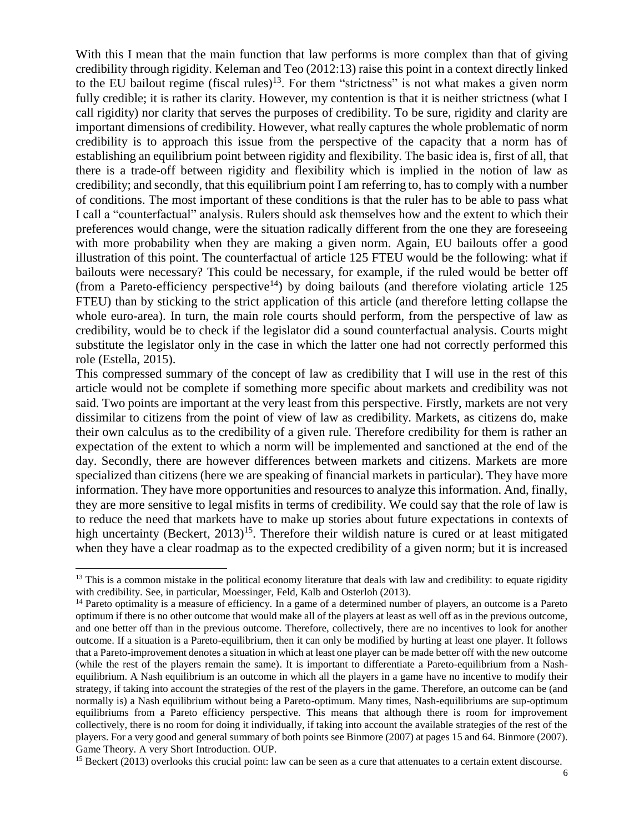With this I mean that the main function that law performs is more complex than that of giving credibility through rigidity. Keleman and Teo (2012:13) raise this point in a context directly linked to the EU bailout regime (fiscal rules)<sup>13</sup>. For them "strictness" is not what makes a given norm fully credible; it is rather its clarity. However, my contention is that it is neither strictness (what I call rigidity) nor clarity that serves the purposes of credibility. To be sure, rigidity and clarity are important dimensions of credibility. However, what really captures the whole problematic of norm credibility is to approach this issue from the perspective of the capacity that a norm has of establishing an equilibrium point between rigidity and flexibility. The basic idea is, first of all, that there is a trade-off between rigidity and flexibility which is implied in the notion of law as credibility; and secondly, that this equilibrium point I am referring to, has to comply with a number of conditions. The most important of these conditions is that the ruler has to be able to pass what I call a "counterfactual" analysis. Rulers should ask themselves how and the extent to which their preferences would change, were the situation radically different from the one they are foreseeing with more probability when they are making a given norm. Again, EU bailouts offer a good illustration of this point. The counterfactual of article 125 FTEU would be the following: what if bailouts were necessary? This could be necessary, for example, if the ruled would be better off (from a Pareto-efficiency perspective<sup>14</sup>) by doing bailouts (and therefore violating article 125 FTEU) than by sticking to the strict application of this article (and therefore letting collapse the whole euro-area). In turn, the main role courts should perform, from the perspective of law as credibility, would be to check if the legislator did a sound counterfactual analysis. Courts might substitute the legislator only in the case in which the latter one had not correctly performed this role (Estella, 2015).

This compressed summary of the concept of law as credibility that I will use in the rest of this article would not be complete if something more specific about markets and credibility was not said. Two points are important at the very least from this perspective. Firstly, markets are not very dissimilar to citizens from the point of view of law as credibility. Markets, as citizens do, make their own calculus as to the credibility of a given rule. Therefore credibility for them is rather an expectation of the extent to which a norm will be implemented and sanctioned at the end of the day. Secondly, there are however differences between markets and citizens. Markets are more specialized than citizens (here we are speaking of financial markets in particular). They have more information. They have more opportunities and resources to analyze this information. And, finally, they are more sensitive to legal misfits in terms of credibility. We could say that the role of law is to reduce the need that markets have to make up stories about future expectations in contexts of high uncertainty (Beckert,  $2013$ )<sup>15</sup>. Therefore their wildish nature is cured or at least mitigated when they have a clear roadmap as to the expected credibility of a given norm; but it is increased

l

 $15$  Beckert (2013) overlooks this crucial point: law can be seen as a cure that attenuates to a certain extent discourse.

 $13$  This is a common mistake in the political economy literature that deals with law and credibility: to equate rigidity with credibility. See, in particular, Moessinger, Feld, Kalb and Osterloh (2013).

<sup>&</sup>lt;sup>14</sup> Pareto optimality is a measure of efficiency. In a game of a determined number of players, an outcome is a Pareto optimum if there is no other outcome that would make all of the players at least as well off as in the previous outcome, and one better off than in the previous outcome. Therefore, collectively, there are no incentives to look for another outcome. If a situation is a Pareto-equilibrium, then it can only be modified by hurting at least one player. It follows that a Pareto-improvement denotes a situation in which at least one player can be made better off with the new outcome (while the rest of the players remain the same). It is important to differentiate a Pareto-equilibrium from a Nashequilibrium. A Nash equilibrium is an outcome in which all the players in a game have no incentive to modify their strategy, if taking into account the strategies of the rest of the players in the game. Therefore, an outcome can be (and normally is) a Nash equilibrium without being a Pareto-optimum. Many times, Nash-equilibriums are sup-optimum equilibriums from a Pareto efficiency perspective. This means that although there is room for improvement collectively, there is no room for doing it individually, if taking into account the available strategies of the rest of the players. For a very good and general summary of both points see Binmore (2007) at pages 15 and 64. Binmore (2007). Game Theory. A very Short Introduction. OUP.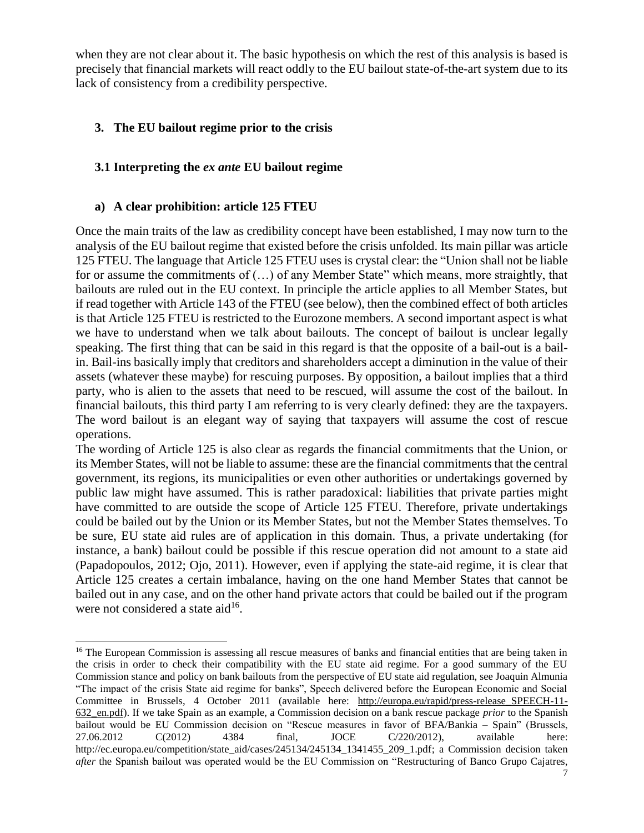when they are not clear about it. The basic hypothesis on which the rest of this analysis is based is precisely that financial markets will react oddly to the EU bailout state-of-the-art system due to its lack of consistency from a credibility perspective.

# **3. The EU bailout regime prior to the crisis**

# **3.1 Interpreting the** *ex ante* **EU bailout regime**

## **a) A clear prohibition: article 125 FTEU**

l

Once the main traits of the law as credibility concept have been established, I may now turn to the analysis of the EU bailout regime that existed before the crisis unfolded. Its main pillar was article 125 FTEU. The language that Article 125 FTEU uses is crystal clear: the "Union shall not be liable for or assume the commitments of  $(...)$  of any Member State" which means, more straightly, that bailouts are ruled out in the EU context. In principle the article applies to all Member States, but if read together with Article 143 of the FTEU (see below), then the combined effect of both articles is that Article 125 FTEU is restricted to the Eurozone members. A second important aspect is what we have to understand when we talk about bailouts. The concept of bailout is unclear legally speaking. The first thing that can be said in this regard is that the opposite of a bail-out is a bailin. Bail-ins basically imply that creditors and shareholders accept a diminution in the value of their assets (whatever these maybe) for rescuing purposes. By opposition, a bailout implies that a third party, who is alien to the assets that need to be rescued, will assume the cost of the bailout. In financial bailouts, this third party I am referring to is very clearly defined: they are the taxpayers. The word bailout is an elegant way of saying that taxpayers will assume the cost of rescue operations.

The wording of Article 125 is also clear as regards the financial commitments that the Union, or its Member States, will not be liable to assume: these are the financial commitments that the central government, its regions, its municipalities or even other authorities or undertakings governed by public law might have assumed. This is rather paradoxical: liabilities that private parties might have committed to are outside the scope of Article 125 FTEU. Therefore, private undertakings could be bailed out by the Union or its Member States, but not the Member States themselves. To be sure, EU state aid rules are of application in this domain. Thus, a private undertaking (for instance, a bank) bailout could be possible if this rescue operation did not amount to a state aid (Papadopoulos, 2012; Ojo, 2011). However, even if applying the state-aid regime, it is clear that Article 125 creates a certain imbalance, having on the one hand Member States that cannot be bailed out in any case, and on the other hand private actors that could be bailed out if the program were not considered a state aid<sup>16</sup>.

<sup>&</sup>lt;sup>16</sup> The European Commission is assessing all rescue measures of banks and financial entities that are being taken in the crisis in order to check their compatibility with the EU state aid regime. For a good summary of the EU Commission stance and policy on bank bailouts from the perspective of EU state aid regulation, see Joaquin Almunia "The impact of the crisis State aid regime for banks", Speech delivered before the European Economic and Social Committee in Brussels, 4 October 2011 (available here: [http://europa.eu/rapid/press-release\\_SPEECH-11-](http://europa.eu/rapid/press-release_SPEECH-11-632_en.pdf) [632\\_en.pdf\)](http://europa.eu/rapid/press-release_SPEECH-11-632_en.pdf). If we take Spain as an example, a Commission decision on a bank rescue package *prior* to the Spanish bailout would be EU Commission decision on "Rescue measures in favor of BFA/Bankia – Spain" (Brussels, 27.06.2012 C(2012) 4384 final, JOCE C/220/2012), available here: http://ec.europa.eu/competition/state\_aid/cases/245134/245134\_1341455\_209\_1.pdf; a Commission decision taken *after* the Spanish bailout was operated would be the EU Commission on "Restructuring of Banco Grupo Cajatres,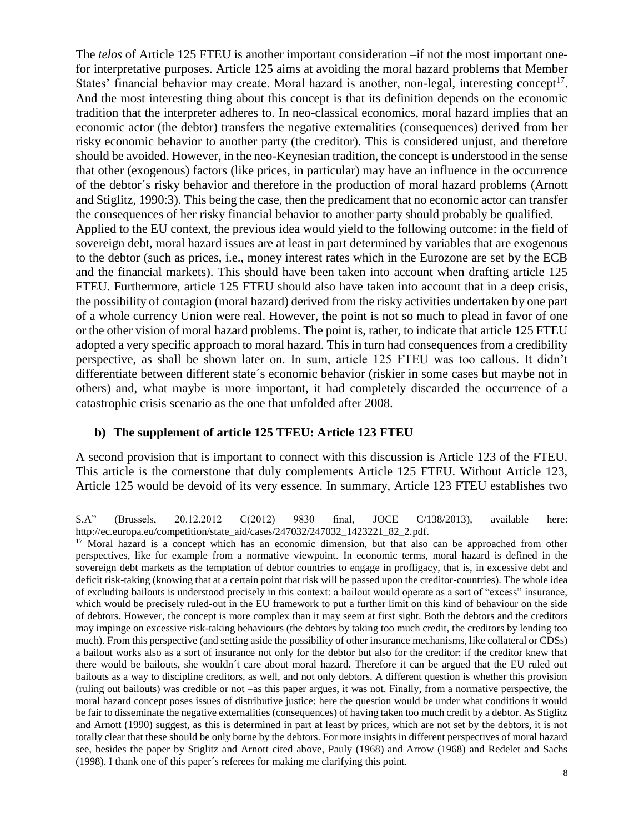The *telos* of Article 125 FTEU is another important consideration –if not the most important onefor interpretative purposes. Article 125 aims at avoiding the moral hazard problems that Member States' financial behavior may create. Moral hazard is another, non-legal, interesting concept<sup>17</sup>. And the most interesting thing about this concept is that its definition depends on the economic tradition that the interpreter adheres to. In neo-classical economics, moral hazard implies that an economic actor (the debtor) transfers the negative externalities (consequences) derived from her risky economic behavior to another party (the creditor). This is considered unjust, and therefore should be avoided. However, in the neo-Keynesian tradition, the concept is understood in the sense that other (exogenous) factors (like prices, in particular) may have an influence in the occurrence of the debtor´s risky behavior and therefore in the production of moral hazard problems (Arnott and Stiglitz, 1990:3). This being the case, then the predicament that no economic actor can transfer the consequences of her risky financial behavior to another party should probably be qualified. Applied to the EU context, the previous idea would yield to the following outcome: in the field of sovereign debt, moral hazard issues are at least in part determined by variables that are exogenous to the debtor (such as prices, i.e., money interest rates which in the Eurozone are set by the ECB and the financial markets). This should have been taken into account when drafting article 125 FTEU. Furthermore, article 125 FTEU should also have taken into account that in a deep crisis, the possibility of contagion (moral hazard) derived from the risky activities undertaken by one part of a whole currency Union were real. However, the point is not so much to plead in favor of one or the other vision of moral hazard problems. The point is, rather, to indicate that article 125 FTEU adopted a very specific approach to moral hazard. This in turn had consequences from a credibility perspective, as shall be shown later on. In sum, article 125 FTEU was too callous. It didn't differentiate between different state´s economic behavior (riskier in some cases but maybe not in others) and, what maybe is more important, it had completely discarded the occurrence of a catastrophic crisis scenario as the one that unfolded after 2008.

### **b) The supplement of article 125 TFEU: Article 123 FTEU**

 $\overline{a}$ 

A second provision that is important to connect with this discussion is Article 123 of the FTEU. This article is the cornerstone that duly complements Article 125 FTEU. Without Article 123, Article 125 would be devoid of its very essence. In summary, Article 123 FTEU establishes two

S.A" (Brussels, 20.12.2012 C(2012) 9830 final, JOCE C/138/2013), available here: http://ec.europa.eu/competition/state\_aid/cases/247032/247032\_1423221\_82\_2.pdf.

<sup>&</sup>lt;sup>17</sup> Moral hazard is a concept which has an economic dimension, but that also can be approached from other perspectives, like for example from a normative viewpoint. In economic terms, moral hazard is defined in the sovereign debt markets as the temptation of debtor countries to engage in profligacy, that is, in excessive debt and deficit risk-taking (knowing that at a certain point that risk will be passed upon the creditor-countries). The whole idea of excluding bailouts is understood precisely in this context: a bailout would operate as a sort of "excess" insurance, which would be precisely ruled-out in the EU framework to put a further limit on this kind of behaviour on the side of debtors. However, the concept is more complex than it may seem at first sight. Both the debtors and the creditors may impinge on excessive risk-taking behaviours (the debtors by taking too much credit, the creditors by lending too much). From this perspective (and setting aside the possibility of other insurance mechanisms, like collateral or CDSs) a bailout works also as a sort of insurance not only for the debtor but also for the creditor: if the creditor knew that there would be bailouts, she wouldn´t care about moral hazard. Therefore it can be argued that the EU ruled out bailouts as a way to discipline creditors, as well, and not only debtors. A different question is whether this provision (ruling out bailouts) was credible or not –as this paper argues, it was not. Finally, from a normative perspective, the moral hazard concept poses issues of distributive justice: here the question would be under what conditions it would be fair to disseminate the negative externalities (consequences) of having taken too much credit by a debtor. As Stiglitz and Arnott (1990) suggest, as this is determined in part at least by prices, which are not set by the debtors, it is not totally clear that these should be only borne by the debtors. For more insights in different perspectives of moral hazard see, besides the paper by Stiglitz and Arnott cited above, Pauly (1968) and Arrow (1968) and Redelet and Sachs (1998). I thank one of this paper´s referees for making me clarifying this point.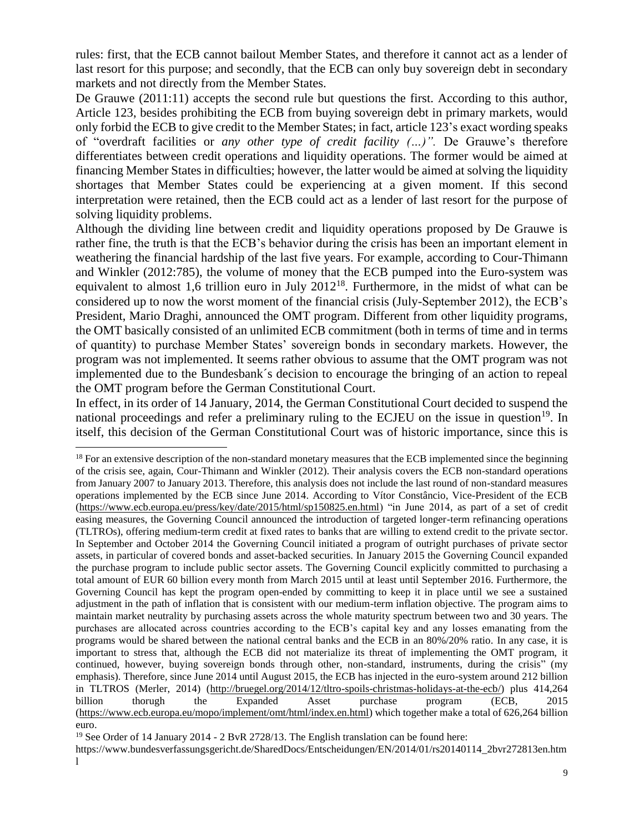rules: first, that the ECB cannot bailout Member States, and therefore it cannot act as a lender of last resort for this purpose; and secondly, that the ECB can only buy sovereign debt in secondary markets and not directly from the Member States.

De Grauwe (2011:11) accepts the second rule but questions the first. According to this author, Article 123, besides prohibiting the ECB from buying sovereign debt in primary markets, would only forbid the ECB to give credit to the Member States; in fact, article 123's exact wording speaks of "overdraft facilities or *any other type of credit facility (…)".* De Grauwe's therefore differentiates between credit operations and liquidity operations. The former would be aimed at financing Member States in difficulties; however, the latter would be aimed at solving the liquidity shortages that Member States could be experiencing at a given moment. If this second interpretation were retained, then the ECB could act as a lender of last resort for the purpose of solving liquidity problems.

Although the dividing line between credit and liquidity operations proposed by De Grauwe is rather fine, the truth is that the ECB's behavior during the crisis has been an important element in weathering the financial hardship of the last five years. For example, according to Cour-Thimann and Winkler (2012:785), the volume of money that the ECB pumped into the Euro-system was equivalent to almost 1,6 trillion euro in July 2012<sup>18</sup>. Furthermore, in the midst of what can be considered up to now the worst moment of the financial crisis (July-September 2012), the ECB's President, Mario Draghi, announced the OMT program. Different from other liquidity programs, the OMT basically consisted of an unlimited ECB commitment (both in terms of time and in terms of quantity) to purchase Member States' sovereign bonds in secondary markets. However, the program was not implemented. It seems rather obvious to assume that the OMT program was not implemented due to the Bundesbank´s decision to encourage the bringing of an action to repeal the OMT program before the German Constitutional Court.

In effect, in its order of 14 January, 2014, the German Constitutional Court decided to suspend the national proceedings and refer a preliminary ruling to the ECJEU on the issue in question<sup>19</sup>. In itself, this decision of the German Constitutional Court was of historic importance, since this is

l

<sup>19</sup> See Order of 14 January 2014 - 2 BvR 2728/13. The English translation can be found here:

<sup>&</sup>lt;sup>18</sup> For an extensive description of the non-standard monetary measures that the ECB implemented since the beginning of the crisis see, again, Cour-Thimann and Winkler (2012). Their analysis covers the ECB non-standard operations from January 2007 to January 2013. Therefore, this analysis does not include the last round of non-standard measures operations implemented by the ECB since June 2014. According to Vítor Constâncio, Vice-President of the ECB [\(https://www.ecb.europa.eu/press/key/date/2015/html/sp150825.en.html\)](https://www.ecb.europa.eu/press/key/date/2015/html/sp150825.en.html) "in June 2014, as part of a set of credit easing measures, the Governing Council announced the introduction of targeted longer-term refinancing operations (TLTROs), offering medium-term credit at fixed rates to banks that are willing to extend credit to the private sector. In September and October 2014 the Governing Council initiated a program of outright purchases of private sector assets, in particular of covered bonds and asset-backed securities. In January 2015 the Governing Council expanded the purchase program to include public sector assets. The Governing Council explicitly committed to purchasing a total amount of EUR 60 billion every month from March 2015 until at least until September 2016. Furthermore, the Governing Council has kept the program open-ended by committing to keep it in place until we see a sustained adjustment in the path of inflation that is consistent with our medium-term inflation objective. The program aims to maintain market neutrality by purchasing assets across the whole maturity spectrum between two and 30 years. The purchases are allocated across countries according to the ECB's capital key and any losses emanating from the programs would be shared between the national central banks and the ECB in an 80%/20% ratio. In any case, it is important to stress that, although the ECB did not materialize its threat of implementing the OMT program, it continued, however, buying sovereign bonds through other, non-standard, instruments, during the crisis" (my emphasis). Therefore, since June 2014 until August 2015, the ECB has injected in the euro-system around 212 billion in TLTROS (Merler, 2014) [\(http://bruegel.org/2014/12/tltro-spoils-christmas-holidays-at-the-ecb/\)](http://bruegel.org/2014/12/tltro-spoils-christmas-holidays-at-the-ecb/) plus 414,264 billion thorugh the Expanded Asset purchase program (ECB, 2015 [\(https://www.ecb.europa.eu/mopo/implement/omt/html/index.en.html\)](https://www.ecb.europa.eu/mopo/implement/omt/html/index.en.html) which together make a total of 626,264 billion euro.

https://www.bundesverfassungsgericht.de/SharedDocs/Entscheidungen/EN/2014/01/rs20140114\_2bvr272813en.htm l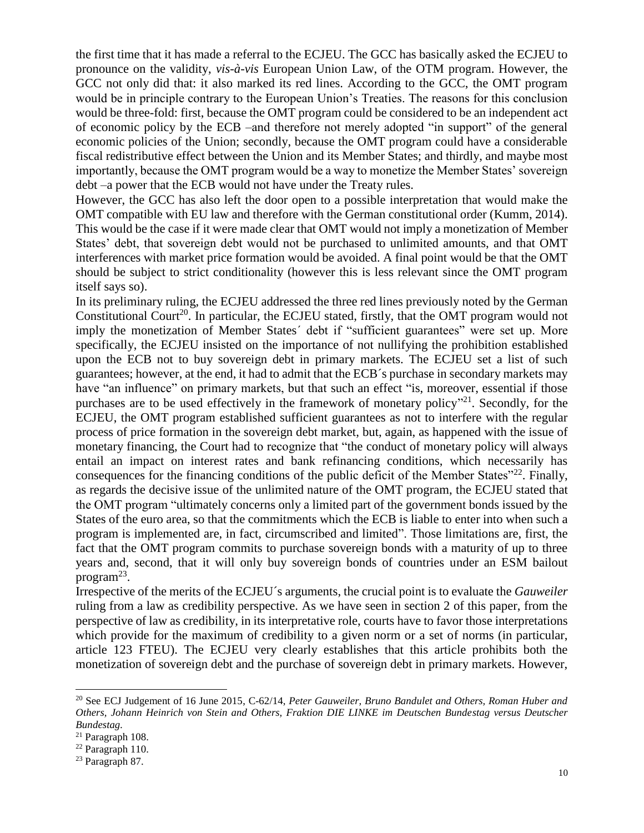the first time that it has made a referral to the ECJEU. The GCC has basically asked the ECJEU to pronounce on the validity, *vis-à-vis* European Union Law, of the OTM program. However, the GCC not only did that: it also marked its red lines. According to the GCC, the OMT program would be in principle contrary to the European Union's Treaties. The reasons for this conclusion would be three-fold: first, because the OMT program could be considered to be an independent act of economic policy by the ECB –and therefore not merely adopted "in support" of the general economic policies of the Union; secondly, because the OMT program could have a considerable fiscal redistributive effect between the Union and its Member States; and thirdly, and maybe most importantly, because the OMT program would be a way to monetize the Member States' sovereign debt –a power that the ECB would not have under the Treaty rules.

However, the GCC has also left the door open to a possible interpretation that would make the OMT compatible with EU law and therefore with the German constitutional order (Kumm, 2014). This would be the case if it were made clear that OMT would not imply a monetization of Member States' debt, that sovereign debt would not be purchased to unlimited amounts, and that OMT interferences with market price formation would be avoided. A final point would be that the OMT should be subject to strict conditionality (however this is less relevant since the OMT program itself says so).

In its preliminary ruling, the ECJEU addressed the three red lines previously noted by the German Constitutional Court<sup>20</sup>. In particular, the ECJEU stated, firstly, that the OMT program would not imply the monetization of Member States´ debt if "sufficient guarantees" were set up. More specifically, the ECJEU insisted on the importance of not nullifying the prohibition established upon the ECB not to buy sovereign debt in primary markets. The ECJEU set a list of such guarantees; however, at the end, it had to admit that the ECB´s purchase in secondary markets may have "an influence" on primary markets, but that such an effect "is, moreover, essential if those purchases are to be used effectively in the framework of monetary policy"<sup>21</sup>. Secondly, for the ECJEU, the OMT program established sufficient guarantees as not to interfere with the regular process of price formation in the sovereign debt market, but, again, as happened with the issue of monetary financing, the Court had to recognize that "the conduct of monetary policy will always entail an impact on interest rates and bank refinancing conditions, which necessarily has consequences for the financing conditions of the public deficit of the Member States<sup>"22</sup>. Finally, as regards the decisive issue of the unlimited nature of the OMT program, the ECJEU stated that the OMT program "ultimately concerns only a limited part of the government bonds issued by the States of the euro area, so that the commitments which the ECB is liable to enter into when such a program is implemented are, in fact, circumscribed and limited". Those limitations are, first, the fact that the OMT program commits to purchase sovereign bonds with a maturity of up to three years and, second, that it will only buy sovereign bonds of countries under an ESM bailout program<sup>23</sup>.

Irrespective of the merits of the ECJEU´s arguments, the crucial point is to evaluate the *Gauweiler* ruling from a law as credibility perspective. As we have seen in section 2 of this paper, from the perspective of law as credibility, in its interpretative role, courts have to favor those interpretations which provide for the maximum of credibility to a given norm or a set of norms (in particular, article 123 FTEU). The ECJEU very clearly establishes that this article prohibits both the monetization of sovereign debt and the purchase of sovereign debt in primary markets. However,

<sup>20</sup> See ECJ Judgement of 16 June 2015, C-62/14, *Peter Gauweiler, Bruno Bandulet and Others, Roman Huber and Others, Johann Heinrich von Stein and Others, Fraktion DIE LINKE im Deutschen Bundestag versus Deutscher Bundestag.*

<sup>21</sup> Paragraph 108.

<sup>22</sup> Paragraph 110.

<sup>23</sup> Paragraph 87.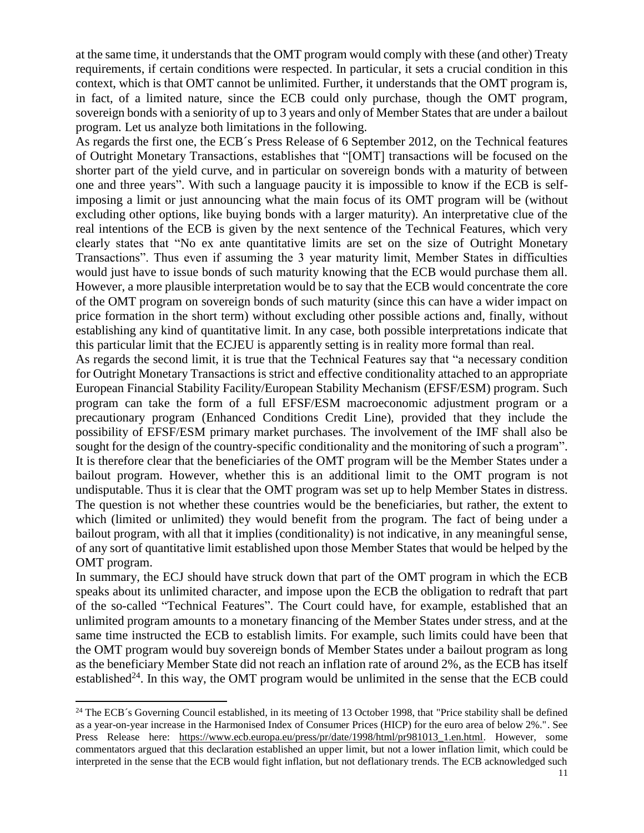at the same time, it understands that the OMT program would comply with these (and other) Treaty requirements, if certain conditions were respected. In particular, it sets a crucial condition in this context, which is that OMT cannot be unlimited. Further, it understands that the OMT program is, in fact, of a limited nature, since the ECB could only purchase, though the OMT program, sovereign bonds with a seniority of up to 3 years and only of Member States that are under a bailout program. Let us analyze both limitations in the following.

As regards the first one, the ECB´s Press Release of 6 September 2012, on the Technical features of Outright Monetary Transactions, establishes that "[OMT] transactions will be focused on the shorter part of the yield curve, and in particular on sovereign bonds with a maturity of between one and three years". With such a language paucity it is impossible to know if the ECB is selfimposing a limit or just announcing what the main focus of its OMT program will be (without excluding other options, like buying bonds with a larger maturity). An interpretative clue of the real intentions of the ECB is given by the next sentence of the Technical Features, which very clearly states that "No ex ante quantitative limits are set on the size of Outright Monetary Transactions". Thus even if assuming the 3 year maturity limit, Member States in difficulties would just have to issue bonds of such maturity knowing that the ECB would purchase them all. However, a more plausible interpretation would be to say that the ECB would concentrate the core of the OMT program on sovereign bonds of such maturity (since this can have a wider impact on price formation in the short term) without excluding other possible actions and, finally, without establishing any kind of quantitative limit. In any case, both possible interpretations indicate that this particular limit that the ECJEU is apparently setting is in reality more formal than real.

As regards the second limit, it is true that the Technical Features say that "a necessary condition for Outright Monetary Transactions is strict and effective conditionality attached to an appropriate European Financial Stability Facility/European Stability Mechanism (EFSF/ESM) program. Such program can take the form of a full EFSF/ESM macroeconomic adjustment program or a precautionary program (Enhanced Conditions Credit Line), provided that they include the possibility of EFSF/ESM primary market purchases. The involvement of the IMF shall also be sought for the design of the country-specific conditionality and the monitoring of such a program". It is therefore clear that the beneficiaries of the OMT program will be the Member States under a bailout program. However, whether this is an additional limit to the OMT program is not undisputable. Thus it is clear that the OMT program was set up to help Member States in distress. The question is not whether these countries would be the beneficiaries, but rather, the extent to which (limited or unlimited) they would benefit from the program. The fact of being under a bailout program, with all that it implies (conditionality) is not indicative, in any meaningful sense, of any sort of quantitative limit established upon those Member States that would be helped by the OMT program.

In summary, the ECJ should have struck down that part of the OMT program in which the ECB speaks about its unlimited character, and impose upon the ECB the obligation to redraft that part of the so-called "Technical Features". The Court could have, for example, established that an unlimited program amounts to a monetary financing of the Member States under stress, and at the same time instructed the ECB to establish limits. For example, such limits could have been that the OMT program would buy sovereign bonds of Member States under a bailout program as long as the beneficiary Member State did not reach an inflation rate of around 2%, as the ECB has itself established<sup>24</sup>. In this way, the OMT program would be unlimited in the sense that the ECB could

 $24$  The ECB´s Governing Council established, in its meeting of 13 October 1998, that "Price stability shall be defined as a year-on-year increase in the Harmonised Index of Consumer Prices (HICP) for the euro area of below 2%.". See Press Release here: [https://www.ecb.europa.eu/press/pr/date/1998/html/pr981013\\_1.en.html.](https://www.ecb.europa.eu/press/pr/date/1998/html/pr981013_1.en.html) However, some commentators argued that this declaration established an upper limit, but not a lower inflation limit, which could be interpreted in the sense that the ECB would fight inflation, but not deflationary trends. The ECB acknowledged such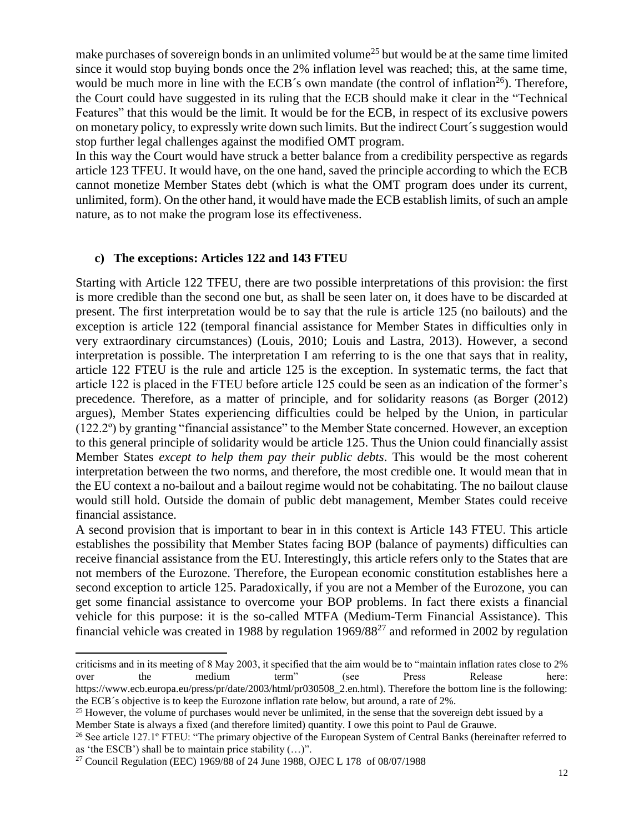make purchases of sovereign bonds in an unlimited volume<sup>25</sup> but would be at the same time limited since it would stop buying bonds once the 2% inflation level was reached; this, at the same time, would be much more in line with the ECB's own mandate (the control of inflation<sup>26</sup>). Therefore, the Court could have suggested in its ruling that the ECB should make it clear in the "Technical Features" that this would be the limit. It would be for the ECB, in respect of its exclusive powers on monetary policy, to expressly write down such limits. But the indirect Court´s suggestion would stop further legal challenges against the modified OMT program.

In this way the Court would have struck a better balance from a credibility perspective as regards article 123 TFEU. It would have, on the one hand, saved the principle according to which the ECB cannot monetize Member States debt (which is what the OMT program does under its current, unlimited, form). On the other hand, it would have made the ECB establish limits, of such an ample nature, as to not make the program lose its effectiveness.

#### **c) The exceptions: Articles 122 and 143 FTEU**

Starting with Article 122 TFEU, there are two possible interpretations of this provision: the first is more credible than the second one but, as shall be seen later on, it does have to be discarded at present. The first interpretation would be to say that the rule is article 125 (no bailouts) and the exception is article 122 (temporal financial assistance for Member States in difficulties only in very extraordinary circumstances) (Louis, 2010; Louis and Lastra, 2013). However, a second interpretation is possible. The interpretation I am referring to is the one that says that in reality, article 122 FTEU is the rule and article 125 is the exception. In systematic terms, the fact that article 122 is placed in the FTEU before article 125 could be seen as an indication of the former's precedence. Therefore, as a matter of principle, and for solidarity reasons (as Borger (2012) argues), Member States experiencing difficulties could be helped by the Union, in particular (122.2º) by granting "financial assistance" to the Member State concerned. However, an exception to this general principle of solidarity would be article 125. Thus the Union could financially assist Member States *except to help them pay their public debts*. This would be the most coherent interpretation between the two norms, and therefore, the most credible one. It would mean that in the EU context a no-bailout and a bailout regime would not be cohabitating. The no bailout clause would still hold. Outside the domain of public debt management, Member States could receive financial assistance.

A second provision that is important to bear in in this context is Article 143 FTEU. This article establishes the possibility that Member States facing BOP (balance of payments) difficulties can receive financial assistance from the EU. Interestingly, this article refers only to the States that are not members of the Eurozone. Therefore, the European economic constitution establishes here a second exception to article 125. Paradoxically, if you are not a Member of the Eurozone, you can get some financial assistance to overcome your BOP problems. In fact there exists a financial vehicle for this purpose: it is the so-called MTFA (Medium-Term Financial Assistance). This financial vehicle was created in 1988 by regulation 1969/88<sup>27</sup> and reformed in 2002 by regulation

criticisms and in its meeting of 8 May 2003, it specified that the aim would be to "maintain inflation rates close to 2% over the medium term" (see Press Release here: https://www.ecb.europa.eu/press/pr/date/2003/html/pr030508\_2.en.html). Therefore the bottom line is the following: the ECB´s objective is to keep the Eurozone inflation rate below, but around, a rate of 2%.

<sup>&</sup>lt;sup>25</sup> However, the volume of purchases would never be unlimited, in the sense that the sovereign debt issued by a Member State is always a fixed (and therefore limited) quantity. I owe this point to Paul de Grauwe.

<sup>&</sup>lt;sup>26</sup> See article 127.1° FTEU: "The primary objective of the European System of Central Banks (hereinafter referred to as 'the ESCB') shall be to maintain price stability  $(...)$ ".

<sup>27</sup> Council Regulation (EEC) 1969/88 of 24 June 1988, OJEC L 178 of 08/07/1988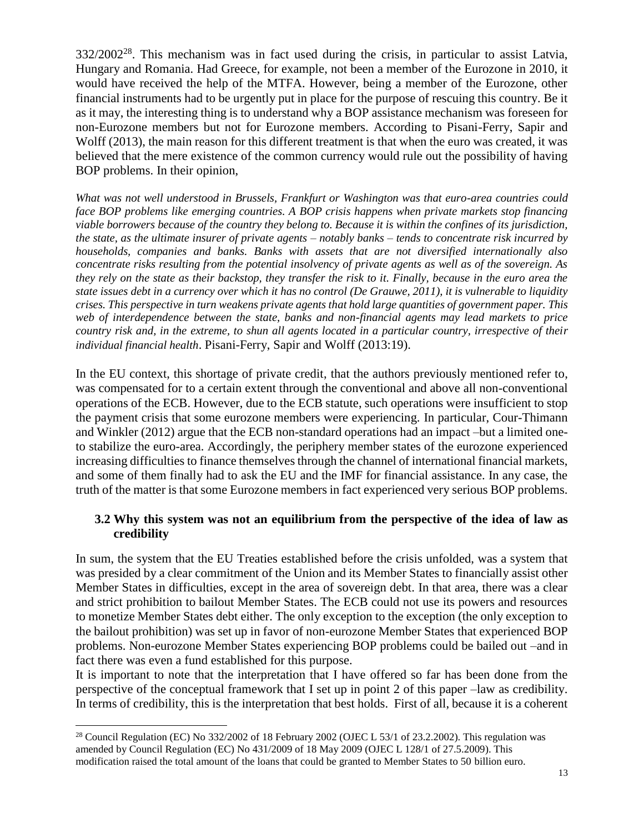$332/2002^{28}$ . This mechanism was in fact used during the crisis, in particular to assist Latvia, Hungary and Romania. Had Greece, for example, not been a member of the Eurozone in 2010, it would have received the help of the MTFA. However, being a member of the Eurozone, other financial instruments had to be urgently put in place for the purpose of rescuing this country. Be it as it may, the interesting thing is to understand why a BOP assistance mechanism was foreseen for non-Eurozone members but not for Eurozone members. According to Pisani-Ferry, Sapir and Wolff (2013), the main reason for this different treatment is that when the euro was created, it was believed that the mere existence of the common currency would rule out the possibility of having BOP problems. In their opinion,

*What was not well understood in Brussels, Frankfurt or Washington was that euro-area countries could face BOP problems like emerging countries. A BOP crisis happens when private markets stop financing viable borrowers because of the country they belong to. Because it is within the confines of its jurisdiction, the state, as the ultimate insurer of private agents – notably banks – tends to concentrate risk incurred by households, companies and banks. Banks with assets that are not diversified internationally also concentrate risks resulting from the potential insolvency of private agents as well as of the sovereign. As they rely on the state as their backstop, they transfer the risk to it. Finally, because in the euro area the state issues debt in a currency over which it has no control (De Grauwe, 2011), it is vulnerable to liquidity crises. This perspective in turn weakens private agents that hold large quantities of government paper. This web of interdependence between the state, banks and non-financial agents may lead markets to price country risk and, in the extreme, to shun all agents located in a particular country, irrespective of their individual financial health*. Pisani-Ferry, Sapir and Wolff (2013:19).

In the EU context, this shortage of private credit, that the authors previously mentioned refer to, was compensated for to a certain extent through the conventional and above all non-conventional operations of the ECB. However, due to the ECB statute, such operations were insufficient to stop the payment crisis that some eurozone members were experiencing. In particular, Cour-Thimann and Winkler (2012) argue that the ECB non-standard operations had an impact –but a limited oneto stabilize the euro-area. Accordingly, the periphery member states of the eurozone experienced increasing difficulties to finance themselves through the channel of international financial markets, and some of them finally had to ask the EU and the IMF for financial assistance. In any case, the truth of the matter is that some Eurozone members in fact experienced very serious BOP problems.

## **3.2 Why this system was not an equilibrium from the perspective of the idea of law as credibility**

In sum, the system that the EU Treaties established before the crisis unfolded, was a system that was presided by a clear commitment of the Union and its Member States to financially assist other Member States in difficulties, except in the area of sovereign debt. In that area, there was a clear and strict prohibition to bailout Member States. The ECB could not use its powers and resources to monetize Member States debt either. The only exception to the exception (the only exception to the bailout prohibition) was set up in favor of non-eurozone Member States that experienced BOP problems. Non-eurozone Member States experiencing BOP problems could be bailed out –and in fact there was even a fund established for this purpose.

It is important to note that the interpretation that I have offered so far has been done from the perspective of the conceptual framework that I set up in point 2 of this paper –law as credibility. In terms of credibility, this is the interpretation that best holds. First of all, because it is a coherent

l <sup>28</sup> Council Regulation (EC) No  $332/2002$  of 18 February 2002 (OJEC L 53/1 of 23.2.2002). This regulation was amended by Council Regulation (EC) No 431/2009 of 18 May 2009 (OJEC L 128/1 of 27.5.2009). This modification raised the total amount of the loans that could be granted to Member States to 50 billion euro.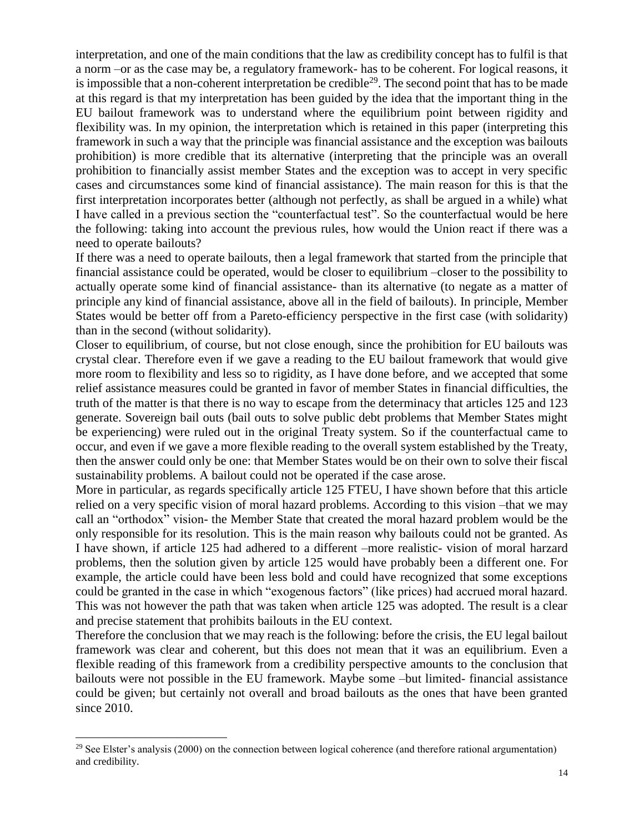interpretation, and one of the main conditions that the law as credibility concept has to fulfil is that a norm –or as the case may be, a regulatory framework- has to be coherent. For logical reasons, it is impossible that a non-coherent interpretation be credible<sup>29</sup>. The second point that has to be made at this regard is that my interpretation has been guided by the idea that the important thing in the EU bailout framework was to understand where the equilibrium point between rigidity and flexibility was. In my opinion, the interpretation which is retained in this paper (interpreting this framework in such a way that the principle was financial assistance and the exception was bailouts prohibition) is more credible that its alternative (interpreting that the principle was an overall prohibition to financially assist member States and the exception was to accept in very specific cases and circumstances some kind of financial assistance). The main reason for this is that the first interpretation incorporates better (although not perfectly, as shall be argued in a while) what I have called in a previous section the "counterfactual test". So the counterfactual would be here the following: taking into account the previous rules, how would the Union react if there was a need to operate bailouts?

If there was a need to operate bailouts, then a legal framework that started from the principle that financial assistance could be operated, would be closer to equilibrium –closer to the possibility to actually operate some kind of financial assistance- than its alternative (to negate as a matter of principle any kind of financial assistance, above all in the field of bailouts). In principle, Member States would be better off from a Pareto-efficiency perspective in the first case (with solidarity) than in the second (without solidarity).

Closer to equilibrium, of course, but not close enough, since the prohibition for EU bailouts was crystal clear. Therefore even if we gave a reading to the EU bailout framework that would give more room to flexibility and less so to rigidity, as I have done before, and we accepted that some relief assistance measures could be granted in favor of member States in financial difficulties, the truth of the matter is that there is no way to escape from the determinacy that articles 125 and 123 generate. Sovereign bail outs (bail outs to solve public debt problems that Member States might be experiencing) were ruled out in the original Treaty system. So if the counterfactual came to occur, and even if we gave a more flexible reading to the overall system established by the Treaty, then the answer could only be one: that Member States would be on their own to solve their fiscal sustainability problems. A bailout could not be operated if the case arose.

More in particular, as regards specifically article 125 FTEU, I have shown before that this article relied on a very specific vision of moral hazard problems. According to this vision –that we may call an "orthodox" vision- the Member State that created the moral hazard problem would be the only responsible for its resolution. This is the main reason why bailouts could not be granted. As I have shown, if article 125 had adhered to a different –more realistic- vision of moral harzard problems, then the solution given by article 125 would have probably been a different one. For example, the article could have been less bold and could have recognized that some exceptions could be granted in the case in which "exogenous factors" (like prices) had accrued moral hazard. This was not however the path that was taken when article 125 was adopted. The result is a clear and precise statement that prohibits bailouts in the EU context.

Therefore the conclusion that we may reach is the following: before the crisis, the EU legal bailout framework was clear and coherent, but this does not mean that it was an equilibrium. Even a flexible reading of this framework from a credibility perspective amounts to the conclusion that bailouts were not possible in the EU framework. Maybe some –but limited- financial assistance could be given; but certainly not overall and broad bailouts as the ones that have been granted since 2010.

 $\overline{a}$ 

 $29$  See Elster's analysis (2000) on the connection between logical coherence (and therefore rational argumentation) and credibility.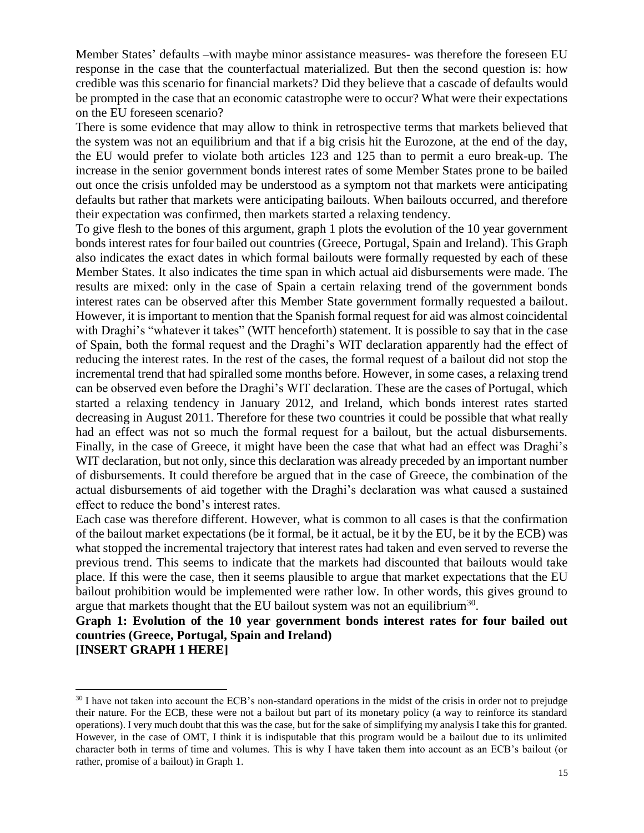Member States' defaults –with maybe minor assistance measures- was therefore the foreseen EU response in the case that the counterfactual materialized. But then the second question is: how credible was this scenario for financial markets? Did they believe that a cascade of defaults would be prompted in the case that an economic catastrophe were to occur? What were their expectations on the EU foreseen scenario?

There is some evidence that may allow to think in retrospective terms that markets believed that the system was not an equilibrium and that if a big crisis hit the Eurozone, at the end of the day, the EU would prefer to violate both articles 123 and 125 than to permit a euro break-up. The increase in the senior government bonds interest rates of some Member States prone to be bailed out once the crisis unfolded may be understood as a symptom not that markets were anticipating defaults but rather that markets were anticipating bailouts. When bailouts occurred, and therefore their expectation was confirmed, then markets started a relaxing tendency.

To give flesh to the bones of this argument, graph 1 plots the evolution of the 10 year government bonds interest rates for four bailed out countries (Greece, Portugal, Spain and Ireland). This Graph also indicates the exact dates in which formal bailouts were formally requested by each of these Member States. It also indicates the time span in which actual aid disbursements were made. The results are mixed: only in the case of Spain a certain relaxing trend of the government bonds interest rates can be observed after this Member State government formally requested a bailout. However, it is important to mention that the Spanish formal request for aid was almost coincidental with Draghi's "whatever it takes" (WIT henceforth) statement. It is possible to say that in the case of Spain, both the formal request and the Draghi's WIT declaration apparently had the effect of reducing the interest rates. In the rest of the cases, the formal request of a bailout did not stop the incremental trend that had spiralled some months before. However, in some cases, a relaxing trend can be observed even before the Draghi's WIT declaration. These are the cases of Portugal, which started a relaxing tendency in January 2012, and Ireland, which bonds interest rates started decreasing in August 2011. Therefore for these two countries it could be possible that what really had an effect was not so much the formal request for a bailout, but the actual disbursements. Finally, in the case of Greece, it might have been the case that what had an effect was Draghi's WIT declaration, but not only, since this declaration was already preceded by an important number of disbursements. It could therefore be argued that in the case of Greece, the combination of the actual disbursements of aid together with the Draghi's declaration was what caused a sustained effect to reduce the bond's interest rates.

Each case was therefore different. However, what is common to all cases is that the confirmation of the bailout market expectations (be it formal, be it actual, be it by the EU, be it by the ECB) was what stopped the incremental trajectory that interest rates had taken and even served to reverse the previous trend. This seems to indicate that the markets had discounted that bailouts would take place. If this were the case, then it seems plausible to argue that market expectations that the EU bailout prohibition would be implemented were rather low. In other words, this gives ground to argue that markets thought that the EU bailout system was not an equilibrium<sup>30</sup>.

**Graph 1: Evolution of the 10 year government bonds interest rates for four bailed out countries (Greece, Portugal, Spain and Ireland) [INSERT GRAPH 1 HERE]**

<sup>&</sup>lt;sup>30</sup> I have not taken into account the ECB's non-standard operations in the midst of the crisis in order not to prejudge their nature. For the ECB, these were not a bailout but part of its monetary policy (a way to reinforce its standard operations). I very much doubt that this was the case, but for the sake of simplifying my analysis I take this for granted. However, in the case of OMT, I think it is indisputable that this program would be a bailout due to its unlimited character both in terms of time and volumes. This is why I have taken them into account as an ECB's bailout (or rather, promise of a bailout) in Graph 1.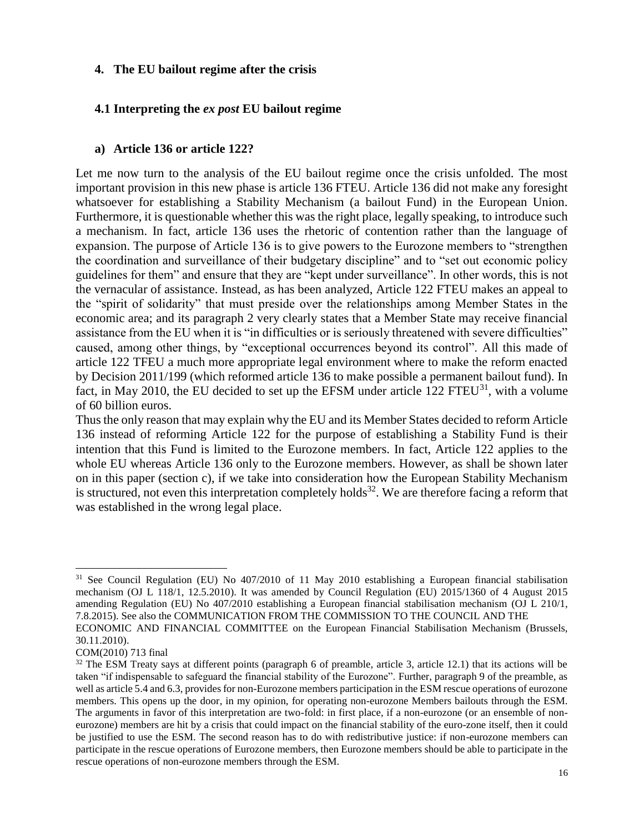## **4. The EU bailout regime after the crisis**

# **4.1 Interpreting the** *ex post* **EU bailout regime**

## **a) Article 136 or article 122?**

Let me now turn to the analysis of the EU bailout regime once the crisis unfolded. The most important provision in this new phase is article 136 FTEU. Article 136 did not make any foresight whatsoever for establishing a Stability Mechanism (a bailout Fund) in the European Union. Furthermore, it is questionable whether this was the right place, legally speaking, to introduce such a mechanism. In fact, article 136 uses the rhetoric of contention rather than the language of expansion. The purpose of Article 136 is to give powers to the Eurozone members to "strengthen the coordination and surveillance of their budgetary discipline" and to "set out economic policy guidelines for them" and ensure that they are "kept under surveillance". In other words, this is not the vernacular of assistance. Instead, as has been analyzed, Article 122 FTEU makes an appeal to the "spirit of solidarity" that must preside over the relationships among Member States in the economic area; and its paragraph 2 very clearly states that a Member State may receive financial assistance from the EU when it is "in difficulties or is seriously threatened with severe difficulties" caused, among other things, by "exceptional occurrences beyond its control". All this made of article 122 TFEU a much more appropriate legal environment where to make the reform enacted by Decision 2011/199 (which reformed article 136 to make possible a permanent bailout fund). In fact, in May 2010, the EU decided to set up the EFSM under article  $122$  FTEU<sup>31</sup>, with a volume of 60 billion euros.

Thus the only reason that may explain why the EU and its Member States decided to reform Article 136 instead of reforming Article 122 for the purpose of establishing a Stability Fund is their intention that this Fund is limited to the Eurozone members. In fact, Article 122 applies to the whole EU whereas Article 136 only to the Eurozone members. However, as shall be shown later on in this paper (section c), if we take into consideration how the European Stability Mechanism is structured, not even this interpretation completely holds<sup>32</sup>. We are therefore facing a reform that was established in the wrong legal place.

<sup>&</sup>lt;sup>31</sup> See Council Regulation (EU) No 407/2010 of 11 May 2010 establishing a European financial stabilisation mechanism (OJ L 118/1, 12.5.2010). It was amended by Council Regulation (EU) 2015/1360 of 4 August 2015 amending Regulation (EU) No 407/2010 establishing a European financial stabilisation mechanism (OJ L 210/1, 7.8.2015). See also the COMMUNICATION FROM THE COMMISSION TO THE COUNCIL AND THE ECONOMIC AND FINANCIAL COMMITTEE on the European Financial Stabilisation Mechanism (Brussels, 30.11.2010).

COM(2010) 713 final

 $32$  The ESM Treaty says at different points (paragraph 6 of preamble, article 3, article 12.1) that its actions will be taken "if indispensable to safeguard the financial stability of the Eurozone". Further, paragraph 9 of the preamble, as well as article 5.4 and 6.3, provides for non-Eurozone members participation in the ESM rescue operations of eurozone members. This opens up the door, in my opinion, for operating non-eurozone Members bailouts through the ESM. The arguments in favor of this interpretation are two-fold: in first place, if a non-eurozone (or an ensemble of noneurozone) members are hit by a crisis that could impact on the financial stability of the euro-zone itself, then it could be justified to use the ESM. The second reason has to do with redistributive justice: if non-eurozone members can participate in the rescue operations of Eurozone members, then Eurozone members should be able to participate in the rescue operations of non-eurozone members through the ESM.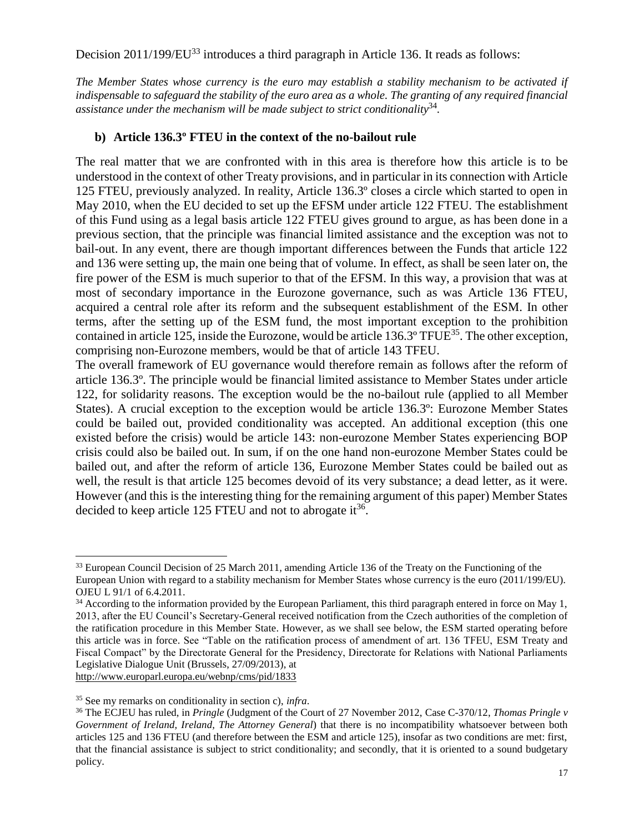Decision 2011/199/EU<sup>33</sup> introduces a third paragraph in Article 136. It reads as follows:

*The Member States whose currency is the euro may establish a stability mechanism to be activated if indispensable to safeguard the stability of the euro area as a whole. The granting of any required financial assistance under the mechanism will be made subject to strict conditionality*<sup>34</sup> *.*

# **b) Article 136.3º FTEU in the context of the no-bailout rule**

The real matter that we are confronted with in this area is therefore how this article is to be understood in the context of other Treaty provisions, and in particular in its connection with Article 125 FTEU, previously analyzed. In reality, Article 136.3º closes a circle which started to open in May 2010, when the EU decided to set up the EFSM under article 122 FTEU. The establishment of this Fund using as a legal basis article 122 FTEU gives ground to argue, as has been done in a previous section, that the principle was financial limited assistance and the exception was not to bail-out. In any event, there are though important differences between the Funds that article 122 and 136 were setting up, the main one being that of volume. In effect, as shall be seen later on, the fire power of the ESM is much superior to that of the EFSM. In this way, a provision that was at most of secondary importance in the Eurozone governance, such as was Article 136 FTEU, acquired a central role after its reform and the subsequent establishment of the ESM. In other terms, after the setting up of the ESM fund, the most important exception to the prohibition contained in article 125, inside the Eurozone, would be article  $136.3^{\circ}$  TFUE<sup>35</sup>. The other exception, comprising non-Eurozone members, would be that of article 143 TFEU.

The overall framework of EU governance would therefore remain as follows after the reform of article 136.3º. The principle would be financial limited assistance to Member States under article 122, for solidarity reasons. The exception would be the no-bailout rule (applied to all Member States). A crucial exception to the exception would be article 136.3º: Eurozone Member States could be bailed out, provided conditionality was accepted. An additional exception (this one existed before the crisis) would be article 143: non-eurozone Member States experiencing BOP crisis could also be bailed out. In sum, if on the one hand non-eurozone Member States could be bailed out, and after the reform of article 136, Eurozone Member States could be bailed out as well, the result is that article 125 becomes devoid of its very substance; a dead letter, as it were. However (and this is the interesting thing for the remaining argument of this paper) Member States decided to keep article 125 FTEU and not to abrogate it<sup>36</sup>.

l <sup>33</sup> European Council Decision of 25 March 2011, amending Article 136 of the Treaty on the Functioning of the European Union with regard to a stability mechanism for Member States whose currency is the euro (2011/199/EU). OJEU L 91/1 of 6.4.2011.

<sup>&</sup>lt;sup>34</sup> According to the information provided by the European Parliament, this third paragraph entered in force on May 1, 2013, after the EU Council's Secretary-General received notification from the Czech authorities of the completion of the ratification procedure in this Member State. However, as we shall see below, the ESM started operating before this article was in force. See "Table on the ratification process of amendment of art. 136 TFEU, ESM Treaty and Fiscal Compact" by the Directorate General for the Presidency, Directorate for Relations with National Parliaments Legislative Dialogue Unit (Brussels, 27/09/2013), at <http://www.europarl.europa.eu/webnp/cms/pid/1833>

<sup>35</sup> See my remarks on conditionality in section c), *infra*.

<sup>36</sup> The ECJEU has ruled, in *Pringle* (Judgment of the Court of 27 November 2012, Case C-370/12, *Thomas Pringle v Government of Ireland, Ireland, The Attorney General*) that there is no incompatibility whatsoever between both articles 125 and 136 FTEU (and therefore between the ESM and article 125), insofar as two conditions are met: first, that the financial assistance is subject to strict conditionality; and secondly, that it is oriented to a sound budgetary policy.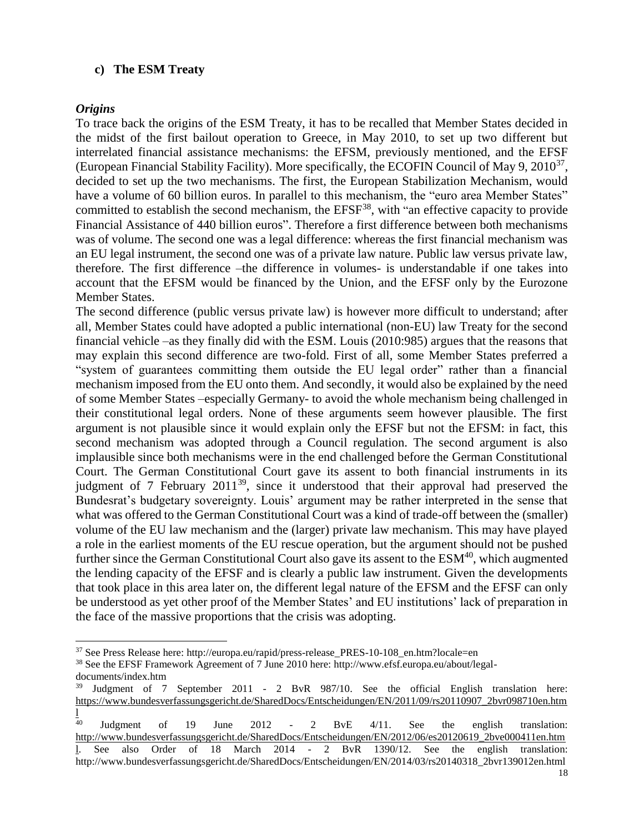### **c) The ESM Treaty**

### *Origins*

To trace back the origins of the ESM Treaty, it has to be recalled that Member States decided in the midst of the first bailout operation to Greece, in May 2010, to set up two different but interrelated financial assistance mechanisms: the EFSM, previously mentioned, and the EFSF (European Financial Stability Facility). More specifically, the ECOFIN Council of May 9, 2010<sup>37</sup>, decided to set up the two mechanisms. The first, the European Stabilization Mechanism, would have a volume of 60 billion euros. In parallel to this mechanism, the "euro area Member States" committed to establish the second mechanism, the EFSF<sup>38</sup>, with "an effective capacity to provide Financial Assistance of 440 billion euros". Therefore a first difference between both mechanisms was of volume. The second one was a legal difference: whereas the first financial mechanism was an EU legal instrument, the second one was of a private law nature. Public law versus private law, therefore. The first difference –the difference in volumes- is understandable if one takes into account that the EFSM would be financed by the Union, and the EFSF only by the Eurozone Member States.

The second difference (public versus private law) is however more difficult to understand; after all, Member States could have adopted a public international (non-EU) law Treaty for the second financial vehicle –as they finally did with the ESM. Louis (2010:985) argues that the reasons that may explain this second difference are two-fold. First of all, some Member States preferred a "system of guarantees committing them outside the EU legal order" rather than a financial mechanism imposed from the EU onto them. And secondly, it would also be explained by the need of some Member States –especially Germany- to avoid the whole mechanism being challenged in their constitutional legal orders. None of these arguments seem however plausible. The first argument is not plausible since it would explain only the EFSF but not the EFSM: in fact, this second mechanism was adopted through a Council regulation. The second argument is also implausible since both mechanisms were in the end challenged before the German Constitutional Court. The German Constitutional Court gave its assent to both financial instruments in its judgment of 7 February 2011<sup>39</sup>, since it understood that their approval had preserved the Bundesrat's budgetary sovereignty. Louis' argument may be rather interpreted in the sense that what was offered to the German Constitutional Court was a kind of trade-off between the (smaller) volume of the EU law mechanism and the (larger) private law mechanism. This may have played a role in the earliest moments of the EU rescue operation, but the argument should not be pushed further since the German Constitutional Court also gave its assent to the  $ESM<sup>40</sup>$ , which augmented the lending capacity of the EFSF and is clearly a public law instrument. Given the developments that took place in this area later on, the different legal nature of the EFSM and the EFSF can only be understood as yet other proof of the Member States' and EU institutions' lack of preparation in the face of the massive proportions that the crisis was adopting.

l <sup>37</sup> See Press Release here: http://europa.eu/rapid/press-release PRES-10-108 en.htm?locale=en

<sup>38</sup> See the EFSF Framework Agreement of 7 June 2010 here: http://www.efsf.europa.eu/about/legaldocuments/index.htm

<sup>&</sup>lt;sup>39</sup> Judgment of 7 September 2011 - 2 BvR 987/10. See the official English translation here: [https://www.bundesverfassungsgericht.de/SharedDocs/Entscheidungen/EN/2011/09/rs20110907\\_2bvr098710en.htm](https://www.bundesverfassungsgericht.de/SharedDocs/Entscheidungen/EN/2011/09/rs20110907_2bvr098710en.html)

<sup>40</sup> <sup>40</sup> Judgment of 19 June 2012 - 2 BvE 4/11. See the english translation: [http://www.bundesverfassungsgericht.de/SharedDocs/Entscheidungen/EN/2012/06/es20120619\\_2bve000411en.htm](http://www.bundesverfassungsgericht.de/SharedDocs/Entscheidungen/EN/2012/06/es20120619_2bve000411en.html) [l.](http://www.bundesverfassungsgericht.de/SharedDocs/Entscheidungen/EN/2012/06/es20120619_2bve000411en.html) See also Order of 18 March 2014 - 2 BvR 1390/12. See the english translation: http://www.bundesverfassungsgericht.de/SharedDocs/Entscheidungen/EN/2014/03/rs20140318\_2bvr139012en.html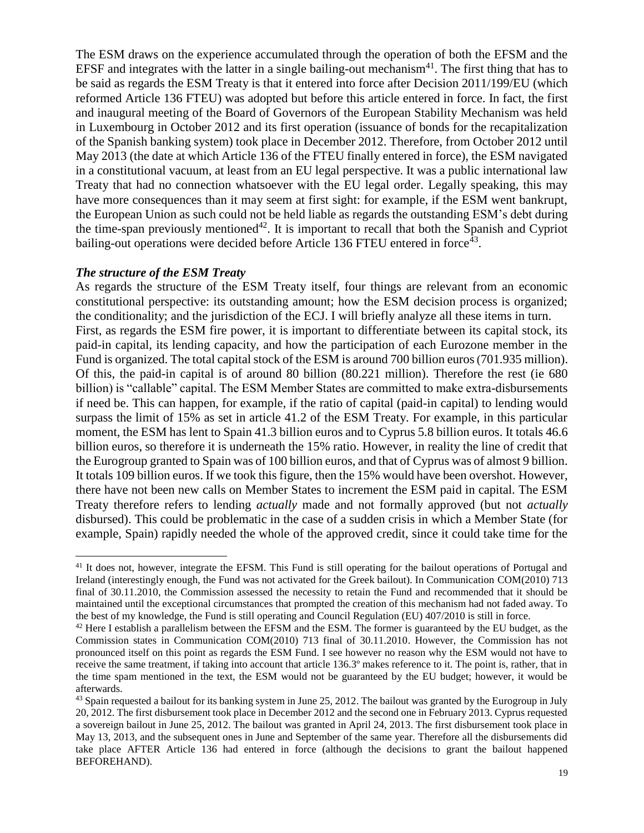The ESM draws on the experience accumulated through the operation of both the EFSM and the EFSF and integrates with the latter in a single bailing-out mechanism<sup>41</sup>. The first thing that has to be said as regards the ESM Treaty is that it entered into force after Decision 2011/199/EU (which reformed Article 136 FTEU) was adopted but before this article entered in force. In fact, the first and inaugural meeting of the Board of Governors of the European Stability Mechanism was held in Luxembourg in October 2012 and its first operation (issuance of bonds for the recapitalization of the Spanish banking system) took place in December 2012. Therefore, from October 2012 until May 2013 (the date at which Article 136 of the FTEU finally entered in force), the ESM navigated in a constitutional vacuum, at least from an EU legal perspective. It was a public international law Treaty that had no connection whatsoever with the EU legal order. Legally speaking, this may have more consequences than it may seem at first sight: for example, if the ESM went bankrupt, the European Union as such could not be held liable as regards the outstanding ESM's debt during the time-span previously mentioned<sup>42</sup>. It is important to recall that both the Spanish and Cypriot bailing-out operations were decided before Article 136 FTEU entered in force<sup>43</sup>.

### *The structure of the ESM Treaty*

As regards the structure of the ESM Treaty itself, four things are relevant from an economic constitutional perspective: its outstanding amount; how the ESM decision process is organized; the conditionality; and the jurisdiction of the ECJ. I will briefly analyze all these items in turn. First, as regards the ESM fire power, it is important to differentiate between its capital stock, its paid-in capital, its lending capacity, and how the participation of each Eurozone member in the Fund is organized. The total capital stock of the ESM is around 700 billion euros(701.935 million). Of this, the paid-in capital is of around 80 billion (80.221 million). Therefore the rest (ie 680 billion) is "callable" capital. The ESM Member States are committed to make extra-disbursements if need be. This can happen, for example, if the ratio of capital (paid-in capital) to lending would surpass the limit of 15% as set in article 41.2 of the ESM Treaty. For example, in this particular moment, the ESM has lent to Spain 41.3 billion euros and to Cyprus 5.8 billion euros. It totals 46.6 billion euros, so therefore it is underneath the 15% ratio. However, in reality the line of credit that the Eurogroup granted to Spain was of 100 billion euros, and that of Cyprus was of almost 9 billion. It totals 109 billion euros. If we took this figure, then the 15% would have been overshot. However, there have not been new calls on Member States to increment the ESM paid in capital. The ESM Treaty therefore refers to lending *actually* made and not formally approved (but not *actually* disbursed). This could be problematic in the case of a sudden crisis in which a Member State (for example, Spain) rapidly needed the whole of the approved credit, since it could take time for the

l <sup>41</sup> It does not, however, integrate the EFSM. This Fund is still operating for the bailout operations of Portugal and Ireland (interestingly enough, the Fund was not activated for the Greek bailout). In Communication COM(2010) 713 final of 30.11.2010, the Commission assessed the necessity to retain the Fund and recommended that it should be maintained until the exceptional circumstances that prompted the creation of this mechanism had not faded away. To the best of my knowledge, the Fund is still operating and Council Regulation (EU) 407/2010 is still in force.

 $42$  Here I establish a parallelism between the EFSM and the ESM. The former is guaranteed by the EU budget, as the Commission states in Communication COM(2010) 713 final of 30.11.2010. However, the Commission has not pronounced itself on this point as regards the ESM Fund. I see however no reason why the ESM would not have to receive the same treatment, if taking into account that article 136.3º makes reference to it. The point is, rather, that in the time spam mentioned in the text, the ESM would not be guaranteed by the EU budget; however, it would be afterwards.

 $43$  Spain requested a bailout for its banking system in June 25, 2012. The bailout was granted by the Eurogroup in July 20, 2012. The first disbursement took place in December 2012 and the second one in February 2013. Cyprus requested a sovereign bailout in June 25, 2012. The bailout was granted in April 24, 2013. The first disbursement took place in May 13, 2013, and the subsequent ones in June and September of the same year. Therefore all the disbursements did take place AFTER Article 136 had entered in force (although the decisions to grant the bailout happened BEFOREHAND).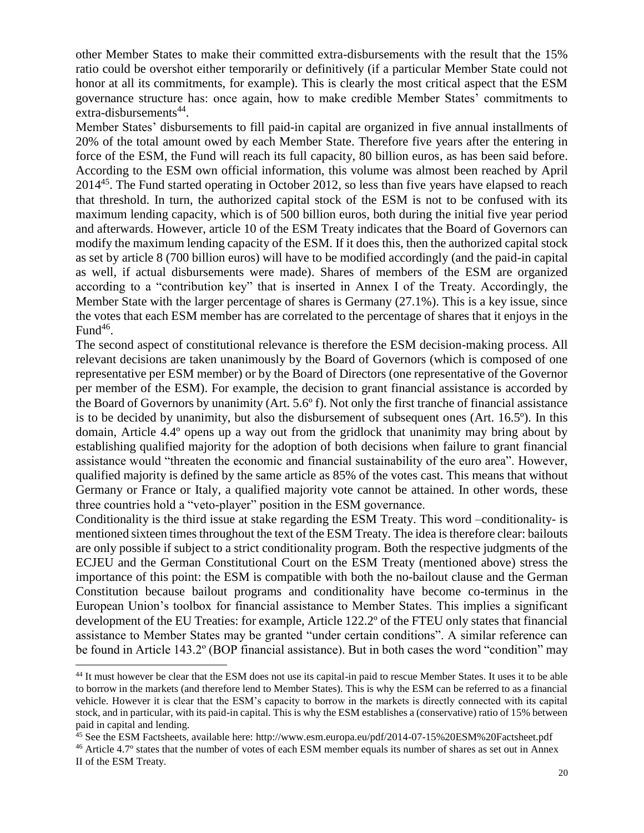other Member States to make their committed extra-disbursements with the result that the 15% ratio could be overshot either temporarily or definitively (if a particular Member State could not honor at all its commitments, for example). This is clearly the most critical aspect that the ESM governance structure has: once again, how to make credible Member States' commitments to extra-disbursements<sup>44</sup>.

Member States' disbursements to fill paid-in capital are organized in five annual installments of 20% of the total amount owed by each Member State. Therefore five years after the entering in force of the ESM, the Fund will reach its full capacity, 80 billion euros, as has been said before. According to the ESM own official information, this volume was almost been reached by April 2014<sup>45</sup>. The Fund started operating in October 2012, so less than five years have elapsed to reach that threshold. In turn, the authorized capital stock of the ESM is not to be confused with its maximum lending capacity, which is of 500 billion euros, both during the initial five year period and afterwards. However, article 10 of the ESM Treaty indicates that the Board of Governors can modify the maximum lending capacity of the ESM. If it does this, then the authorized capital stock as set by article 8 (700 billion euros) will have to be modified accordingly (and the paid-in capital as well, if actual disbursements were made). Shares of members of the ESM are organized according to a "contribution key" that is inserted in Annex I of the Treaty. Accordingly, the Member State with the larger percentage of shares is Germany (27.1%). This is a key issue, since the votes that each ESM member has are correlated to the percentage of shares that it enjoys in the Fund $46$ .

The second aspect of constitutional relevance is therefore the ESM decision-making process. All relevant decisions are taken unanimously by the Board of Governors (which is composed of one representative per ESM member) or by the Board of Directors (one representative of the Governor per member of the ESM). For example, the decision to grant financial assistance is accorded by the Board of Governors by unanimity (Art. 5.6º f). Not only the first tranche of financial assistance is to be decided by unanimity, but also the disbursement of subsequent ones (Art. 16.5º). In this domain, Article 4.4º opens up a way out from the gridlock that unanimity may bring about by establishing qualified majority for the adoption of both decisions when failure to grant financial assistance would "threaten the economic and financial sustainability of the euro area". However, qualified majority is defined by the same article as 85% of the votes cast. This means that without Germany or France or Italy, a qualified majority vote cannot be attained. In other words, these three countries hold a "veto-player" position in the ESM governance.

Conditionality is the third issue at stake regarding the ESM Treaty. This word –conditionality- is mentioned sixteen times throughout the text of the ESM Treaty. The idea is therefore clear: bailouts are only possible if subject to a strict conditionality program. Both the respective judgments of the ECJEU and the German Constitutional Court on the ESM Treaty (mentioned above) stress the importance of this point: the ESM is compatible with both the no-bailout clause and the German Constitution because bailout programs and conditionality have become co-terminus in the European Union's toolbox for financial assistance to Member States. This implies a significant development of the EU Treaties: for example, Article 122.2º of the FTEU only states that financial assistance to Member States may be granted "under certain conditions". A similar reference can be found in Article 143.2º (BOP financial assistance). But in both cases the word "condition" may

<sup>44</sup> It must however be clear that the ESM does not use its capital-in paid to rescue Member States. It uses it to be able to borrow in the markets (and therefore lend to Member States). This is why the ESM can be referred to as a financial vehicle. However it is clear that the ESM's capacity to borrow in the markets is directly connected with its capital stock, and in particular, with its paid-in capital. This is why the ESM establishes a (conservative) ratio of 15% between paid in capital and lending.

<sup>&</sup>lt;sup>45</sup> See the ESM Factsheets, available here: http://www.esm.europa.eu/pdf/2014-07-15%20ESM%20Factsheet.pdf <sup>46</sup> Article 4.7º states that the number of votes of each ESM member equals its number of shares as set out in Annex II of the ESM Treaty.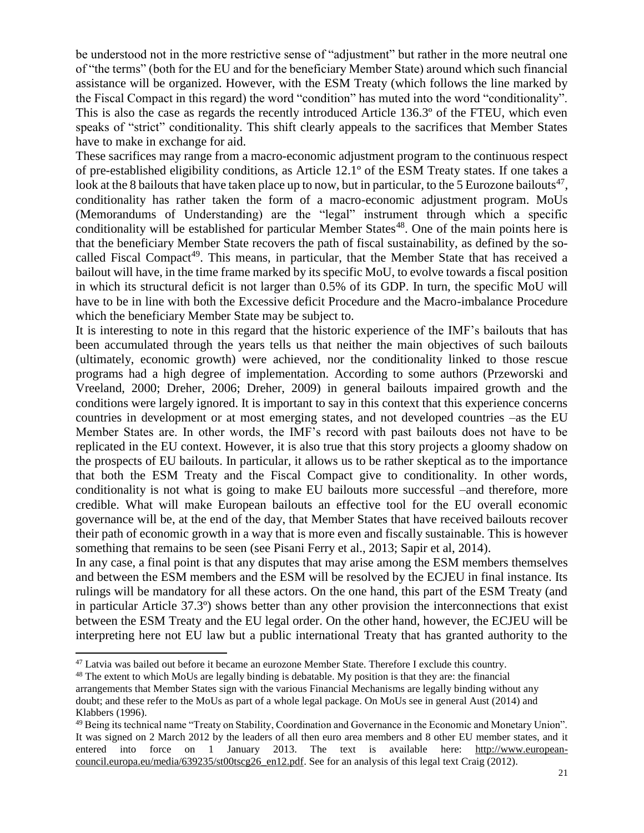be understood not in the more restrictive sense of "adjustment" but rather in the more neutral one of "the terms" (both for the EU and for the beneficiary Member State) around which such financial assistance will be organized. However, with the ESM Treaty (which follows the line marked by the Fiscal Compact in this regard) the word "condition" has muted into the word "conditionality". This is also the case as regards the recently introduced Article 136.3º of the FTEU, which even speaks of "strict" conditionality. This shift clearly appeals to the sacrifices that Member States have to make in exchange for aid.

These sacrifices may range from a macro-economic adjustment program to the continuous respect of pre-established eligibility conditions, as Article 12.1º of the ESM Treaty states. If one takes a look at the 8 bailouts that have taken place up to now, but in particular, to the 5 Eurozone bailouts<sup>47</sup>, conditionality has rather taken the form of a macro-economic adjustment program. MoUs (Memorandums of Understanding) are the "legal" instrument through which a specific conditionality will be established for particular Member States<sup>48</sup>. One of the main points here is that the beneficiary Member State recovers the path of fiscal sustainability, as defined by the socalled Fiscal Compact<sup>49</sup>. This means, in particular, that the Member State that has received a bailout will have, in the time frame marked by its specific MoU, to evolve towards a fiscal position in which its structural deficit is not larger than 0.5% of its GDP. In turn, the specific MoU will have to be in line with both the Excessive deficit Procedure and the Macro-imbalance Procedure which the beneficiary Member State may be subject to.

It is interesting to note in this regard that the historic experience of the IMF's bailouts that has been accumulated through the years tells us that neither the main objectives of such bailouts (ultimately, economic growth) were achieved, nor the conditionality linked to those rescue programs had a high degree of implementation. According to some authors (Przeworski and Vreeland, 2000; Dreher, 2006; Dreher, 2009) in general bailouts impaired growth and the conditions were largely ignored. It is important to say in this context that this experience concerns countries in development or at most emerging states, and not developed countries –as the EU Member States are. In other words, the IMF's record with past bailouts does not have to be replicated in the EU context. However, it is also true that this story projects a gloomy shadow on the prospects of EU bailouts. In particular, it allows us to be rather skeptical as to the importance that both the ESM Treaty and the Fiscal Compact give to conditionality. In other words, conditionality is not what is going to make EU bailouts more successful –and therefore, more credible. What will make European bailouts an effective tool for the EU overall economic governance will be, at the end of the day, that Member States that have received bailouts recover their path of economic growth in a way that is more even and fiscally sustainable. This is however something that remains to be seen (see Pisani Ferry et al., 2013; Sapir et al, 2014).

In any case, a final point is that any disputes that may arise among the ESM members themselves and between the ESM members and the ESM will be resolved by the ECJEU in final instance. Its rulings will be mandatory for all these actors. On the one hand, this part of the ESM Treaty (and in particular Article 37.3º) shows better than any other provision the interconnections that exist between the ESM Treaty and the EU legal order. On the other hand, however, the ECJEU will be interpreting here not EU law but a public international Treaty that has granted authority to the

<sup>&</sup>lt;sup>47</sup> Latvia was bailed out before it became an eurozone Member State. Therefore I exclude this country.

<sup>&</sup>lt;sup>48</sup> The extent to which MoUs are legally binding is debatable. My position is that they are: the financial

arrangements that Member States sign with the various Financial Mechanisms are legally binding without any doubt; and these refer to the MoUs as part of a whole legal package. On MoUs see in general Aust (2014) and Klabbers (1996).

<sup>49</sup> Being its technical name "Treaty on Stability, Coordination and Governance in the Economic and Monetary Union". It was signed on 2 March 2012 by the leaders of all then euro area members and 8 other EU member states, and it entered into force on 1 January 2013. The text is available here: [http://www.european](http://www.european-council.europa.eu/media/639235/st00tscg26_en12.pdf)[council.europa.eu/media/639235/st00tscg26\\_en12.pdf.](http://www.european-council.europa.eu/media/639235/st00tscg26_en12.pdf) See for an analysis of this legal text Craig (2012).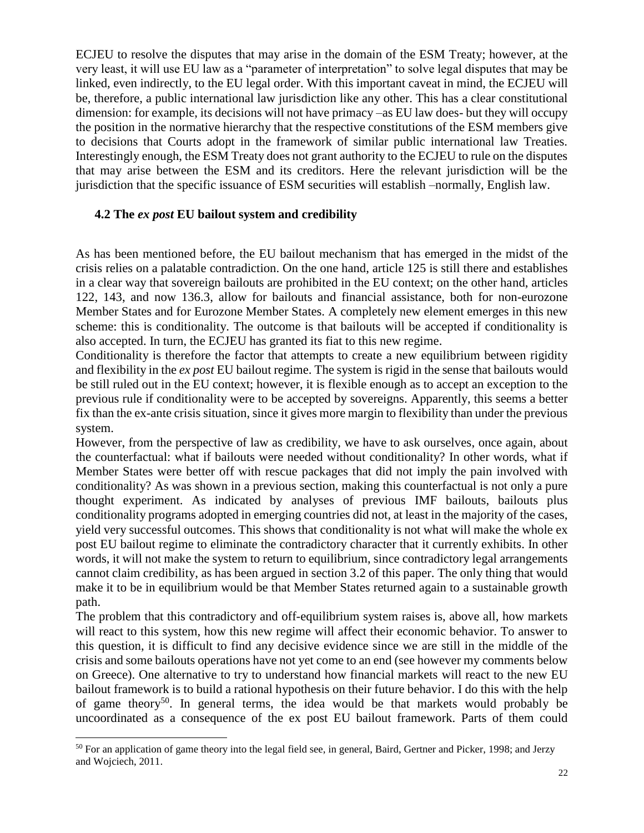ECJEU to resolve the disputes that may arise in the domain of the ESM Treaty; however, at the very least, it will use EU law as a "parameter of interpretation" to solve legal disputes that may be linked, even indirectly, to the EU legal order. With this important caveat in mind, the ECJEU will be, therefore, a public international law jurisdiction like any other. This has a clear constitutional dimension: for example, its decisions will not have primacy –as EU law does- but they will occupy the position in the normative hierarchy that the respective constitutions of the ESM members give to decisions that Courts adopt in the framework of similar public international law Treaties. Interestingly enough, the ESM Treaty does not grant authority to the ECJEU to rule on the disputes that may arise between the ESM and its creditors. Here the relevant jurisdiction will be the jurisdiction that the specific issuance of ESM securities will establish –normally, English law.

## **4.2 The** *ex post* **EU bailout system and credibility**

As has been mentioned before, the EU bailout mechanism that has emerged in the midst of the crisis relies on a palatable contradiction. On the one hand, article 125 is still there and establishes in a clear way that sovereign bailouts are prohibited in the EU context; on the other hand, articles 122, 143, and now 136.3, allow for bailouts and financial assistance, both for non-eurozone Member States and for Eurozone Member States. A completely new element emerges in this new scheme: this is conditionality. The outcome is that bailouts will be accepted if conditionality is also accepted. In turn, the ECJEU has granted its fiat to this new regime.

Conditionality is therefore the factor that attempts to create a new equilibrium between rigidity and flexibility in the *ex post* EU bailout regime. The system is rigid in the sense that bailouts would be still ruled out in the EU context; however, it is flexible enough as to accept an exception to the previous rule if conditionality were to be accepted by sovereigns. Apparently, this seems a better fix than the ex-ante crisis situation, since it gives more margin to flexibility than under the previous system.

However, from the perspective of law as credibility, we have to ask ourselves, once again, about the counterfactual: what if bailouts were needed without conditionality? In other words, what if Member States were better off with rescue packages that did not imply the pain involved with conditionality? As was shown in a previous section, making this counterfactual is not only a pure thought experiment. As indicated by analyses of previous IMF bailouts, bailouts plus conditionality programs adopted in emerging countries did not, at least in the majority of the cases, yield very successful outcomes. This shows that conditionality is not what will make the whole ex post EU bailout regime to eliminate the contradictory character that it currently exhibits. In other words, it will not make the system to return to equilibrium, since contradictory legal arrangements cannot claim credibility, as has been argued in section 3.2 of this paper. The only thing that would make it to be in equilibrium would be that Member States returned again to a sustainable growth path.

The problem that this contradictory and off-equilibrium system raises is, above all, how markets will react to this system, how this new regime will affect their economic behavior. To answer to this question, it is difficult to find any decisive evidence since we are still in the middle of the crisis and some bailouts operations have not yet come to an end (see however my comments below on Greece). One alternative to try to understand how financial markets will react to the new EU bailout framework is to build a rational hypothesis on their future behavior. I do this with the help of game theory<sup>50</sup>. In general terms, the idea would be that markets would probably be uncoordinated as a consequence of the ex post EU bailout framework. Parts of them could

 $\overline{a}$ <sup>50</sup> For an application of game theory into the legal field see, in general, Baird, Gertner and Picker, 1998; and Jerzy and Wojciech, 2011.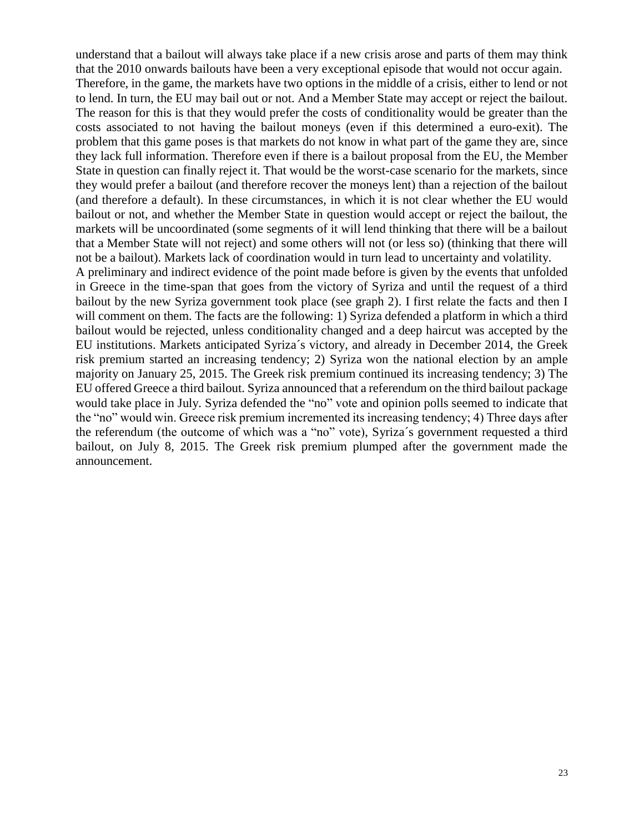understand that a bailout will always take place if a new crisis arose and parts of them may think that the 2010 onwards bailouts have been a very exceptional episode that would not occur again. Therefore, in the game, the markets have two options in the middle of a crisis, either to lend or not to lend. In turn, the EU may bail out or not. And a Member State may accept or reject the bailout. The reason for this is that they would prefer the costs of conditionality would be greater than the costs associated to not having the bailout moneys (even if this determined a euro-exit). The problem that this game poses is that markets do not know in what part of the game they are, since they lack full information. Therefore even if there is a bailout proposal from the EU, the Member State in question can finally reject it. That would be the worst-case scenario for the markets, since they would prefer a bailout (and therefore recover the moneys lent) than a rejection of the bailout (and therefore a default). In these circumstances, in which it is not clear whether the EU would bailout or not, and whether the Member State in question would accept or reject the bailout, the markets will be uncoordinated (some segments of it will lend thinking that there will be a bailout that a Member State will not reject) and some others will not (or less so) (thinking that there will not be a bailout). Markets lack of coordination would in turn lead to uncertainty and volatility. A preliminary and indirect evidence of the point made before is given by the events that unfolded in Greece in the time-span that goes from the victory of Syriza and until the request of a third bailout by the new Syriza government took place (see graph 2). I first relate the facts and then I will comment on them. The facts are the following: 1) Syriza defended a platform in which a third bailout would be rejected, unless conditionality changed and a deep haircut was accepted by the EU institutions. Markets anticipated Syriza´s victory, and already in December 2014, the Greek risk premium started an increasing tendency; 2) Syriza won the national election by an ample majority on January 25, 2015. The Greek risk premium continued its increasing tendency; 3) The EU offered Greece a third bailout. Syriza announced that a referendum on the third bailout package would take place in July. Syriza defended the "no" vote and opinion polls seemed to indicate that the "no" would win. Greece risk premium incremented its increasing tendency; 4) Three days after the referendum (the outcome of which was a "no" vote), Syriza´s government requested a third bailout, on July 8, 2015. The Greek risk premium plumped after the government made the announcement.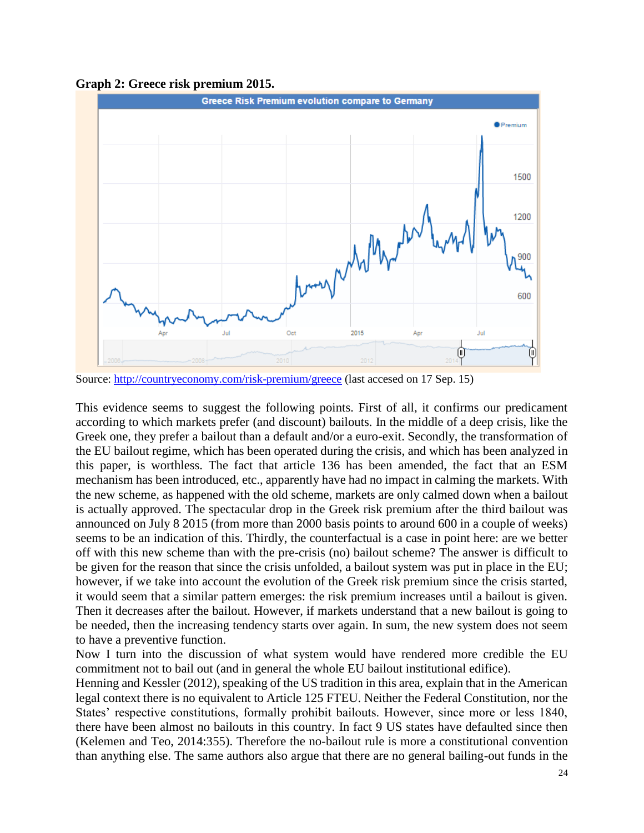



Source:<http://countryeconomy.com/risk-premium/greece> (last accesed on 17 Sep. 15)

This evidence seems to suggest the following points. First of all, it confirms our predicament according to which markets prefer (and discount) bailouts. In the middle of a deep crisis, like the Greek one, they prefer a bailout than a default and/or a euro-exit. Secondly, the transformation of the EU bailout regime, which has been operated during the crisis, and which has been analyzed in this paper, is worthless. The fact that article 136 has been amended, the fact that an ESM mechanism has been introduced, etc., apparently have had no impact in calming the markets. With the new scheme, as happened with the old scheme, markets are only calmed down when a bailout is actually approved. The spectacular drop in the Greek risk premium after the third bailout was announced on July 8 2015 (from more than 2000 basis points to around 600 in a couple of weeks) seems to be an indication of this. Thirdly, the counterfactual is a case in point here: are we better off with this new scheme than with the pre-crisis (no) bailout scheme? The answer is difficult to be given for the reason that since the crisis unfolded, a bailout system was put in place in the EU; however, if we take into account the evolution of the Greek risk premium since the crisis started, it would seem that a similar pattern emerges: the risk premium increases until a bailout is given. Then it decreases after the bailout. However, if markets understand that a new bailout is going to be needed, then the increasing tendency starts over again. In sum, the new system does not seem to have a preventive function.

Now I turn into the discussion of what system would have rendered more credible the EU commitment not to bail out (and in general the whole EU bailout institutional edifice).

Henning and Kessler (2012), speaking of the US tradition in this area, explain that in the American legal context there is no equivalent to Article 125 FTEU. Neither the Federal Constitution, nor the States' respective constitutions, formally prohibit bailouts. However, since more or less 1840, there have been almost no bailouts in this country. In fact 9 US states have defaulted since then (Kelemen and Teo, 2014:355). Therefore the no-bailout rule is more a constitutional convention than anything else. The same authors also argue that there are no general bailing-out funds in the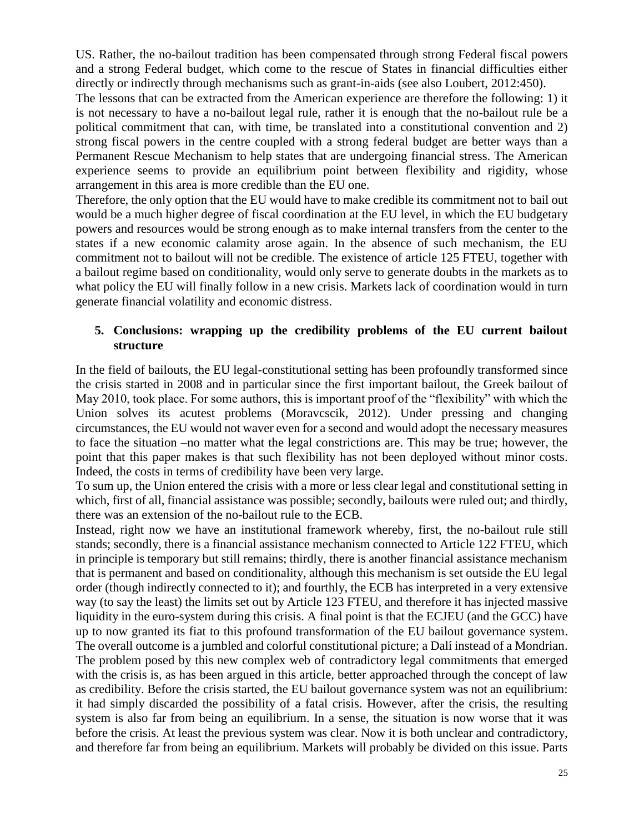US. Rather, the no-bailout tradition has been compensated through strong Federal fiscal powers and a strong Federal budget, which come to the rescue of States in financial difficulties either directly or indirectly through mechanisms such as grant-in-aids (see also Loubert, 2012:450).

The lessons that can be extracted from the American experience are therefore the following: 1) it is not necessary to have a no-bailout legal rule, rather it is enough that the no-bailout rule be a political commitment that can, with time, be translated into a constitutional convention and 2) strong fiscal powers in the centre coupled with a strong federal budget are better ways than a Permanent Rescue Mechanism to help states that are undergoing financial stress. The American experience seems to provide an equilibrium point between flexibility and rigidity, whose arrangement in this area is more credible than the EU one.

Therefore, the only option that the EU would have to make credible its commitment not to bail out would be a much higher degree of fiscal coordination at the EU level, in which the EU budgetary powers and resources would be strong enough as to make internal transfers from the center to the states if a new economic calamity arose again. In the absence of such mechanism, the EU commitment not to bailout will not be credible. The existence of article 125 FTEU, together with a bailout regime based on conditionality, would only serve to generate doubts in the markets as to what policy the EU will finally follow in a new crisis. Markets lack of coordination would in turn generate financial volatility and economic distress.

# **5. Conclusions: wrapping up the credibility problems of the EU current bailout structure**

In the field of bailouts, the EU legal-constitutional setting has been profoundly transformed since the crisis started in 2008 and in particular since the first important bailout, the Greek bailout of May 2010, took place. For some authors, this is important proof of the "flexibility" with which the Union solves its acutest problems (Moravcscik, 2012). Under pressing and changing circumstances, the EU would not waver even for a second and would adopt the necessary measures to face the situation –no matter what the legal constrictions are. This may be true; however, the point that this paper makes is that such flexibility has not been deployed without minor costs. Indeed, the costs in terms of credibility have been very large.

To sum up, the Union entered the crisis with a more or less clear legal and constitutional setting in which, first of all, financial assistance was possible; secondly, bailouts were ruled out; and thirdly, there was an extension of the no-bailout rule to the ECB.

Instead, right now we have an institutional framework whereby, first, the no-bailout rule still stands; secondly, there is a financial assistance mechanism connected to Article 122 FTEU, which in principle is temporary but still remains; thirdly, there is another financial assistance mechanism that is permanent and based on conditionality, although this mechanism is set outside the EU legal order (though indirectly connected to it); and fourthly, the ECB has interpreted in a very extensive way (to say the least) the limits set out by Article 123 FTEU, and therefore it has injected massive liquidity in the euro-system during this crisis. A final point is that the ECJEU (and the GCC) have up to now granted its fiat to this profound transformation of the EU bailout governance system. The overall outcome is a jumbled and colorful constitutional picture; a Dalí instead of a Mondrian. The problem posed by this new complex web of contradictory legal commitments that emerged with the crisis is, as has been argued in this article, better approached through the concept of law as credibility. Before the crisis started, the EU bailout governance system was not an equilibrium: it had simply discarded the possibility of a fatal crisis. However, after the crisis, the resulting system is also far from being an equilibrium. In a sense, the situation is now worse that it was before the crisis. At least the previous system was clear. Now it is both unclear and contradictory, and therefore far from being an equilibrium. Markets will probably be divided on this issue. Parts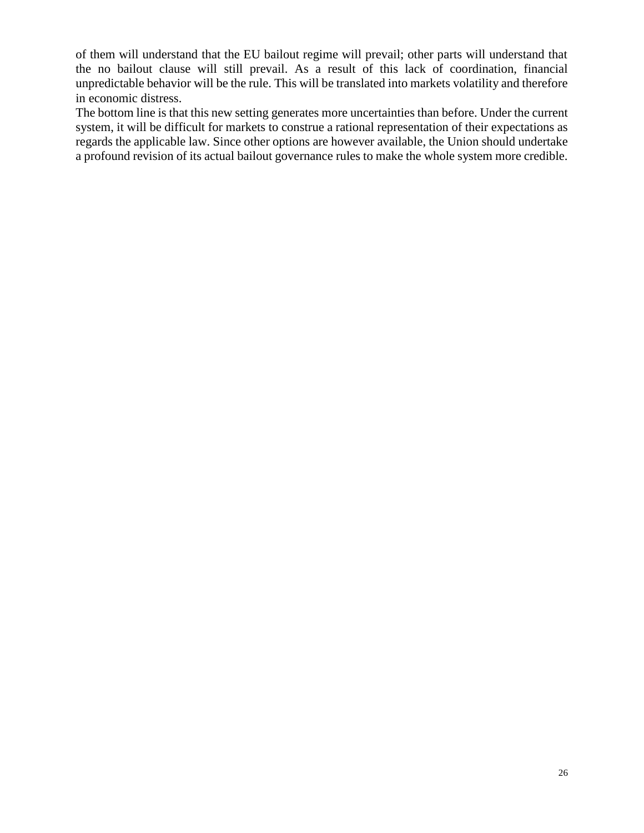of them will understand that the EU bailout regime will prevail; other parts will understand that the no bailout clause will still prevail. As a result of this lack of coordination, financial unpredictable behavior will be the rule. This will be translated into markets volatility and therefore in economic distress.

The bottom line is that this new setting generates more uncertainties than before. Under the current system, it will be difficult for markets to construe a rational representation of their expectations as regards the applicable law. Since other options are however available, the Union should undertake a profound revision of its actual bailout governance rules to make the whole system more credible.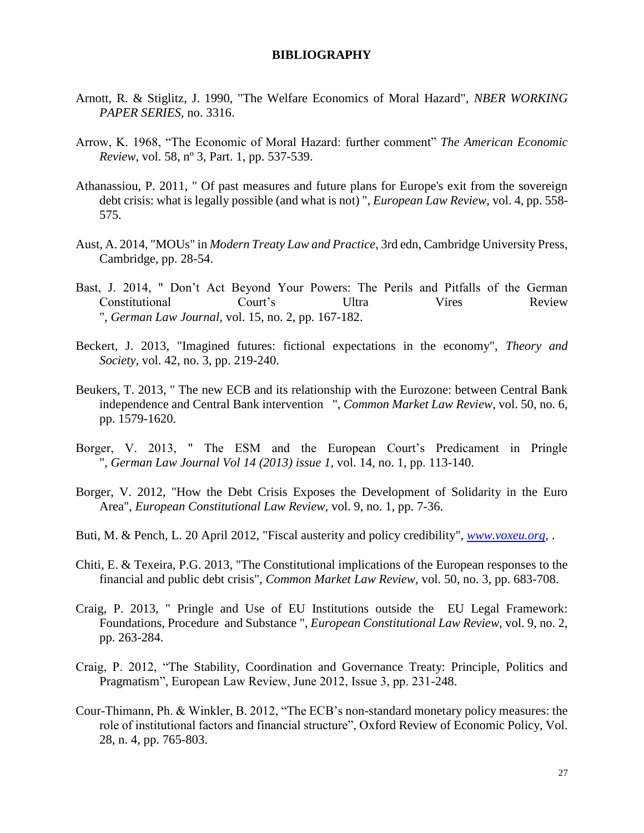#### **BIBLIOGRAPHY**

- Arnott, R. & Stiglitz, J. 1990, "The Welfare Economics of Moral Hazard", *NBER WORKING PAPER SERIES,* no. 3316.
- Arrow, K. 1968, "The Economic of Moral Hazard: further comment" *The American Economic Review*, vol. 58, nº 3, Part. 1, pp. 537-539.
- Athanassiou, P. 2011, " Of past measures and future plans for Europe's exit from the sovereign debt crisis: what is legally possible (and what is not) ", *European Law Review,* vol. 4, pp. 558- 575.
- Aust, A. 2014, "MOUs" in *Modern Treaty Law and Practice*, 3rd edn, Cambridge University Press, Cambridge, pp. 28-54.
- Bast, J. 2014, " Don't Act Beyond Your Powers: The Perils and Pitfalls of the German Constitutional Court's Ultra Vires Review ", *German Law Journal,* vol. 15, no. 2, pp. 167-182.
- Beckert, J. 2013, "Imagined futures: fictional expectations in the economy", *Theory and Society,* vol. 42, no. 3, pp. 219-240.
- Beukers, T. 2013, " The new ECB and its relationship with the Eurozone: between Central Bank independence and Central Bank intervention ", *Common Market Law Review,* vol. 50, no. 6, pp. 1579-1620.
- Borger, V. 2013, " The ESM and the European Court's Predicament in Pringle ", *German Law Journal Vol 14 (2013) issue 1,* vol. 14, no. 1, pp. 113-140.
- Borger, V. 2012, "How the Debt Crisis Exposes the Development of Solidarity in the Euro Area", *European Constitutional Law Review,* vol. 9, no. 1, pp. 7-36.
- Buti, M. & Pench, L. 20 April 2012, "Fiscal austerity and policy credibility", *[www.voxeu.org,](http://www.voxeu.org/)* .
- Chiti, E. & Texeira, P.G. 2013, "The Constitutional implications of the European responses to the financial and public debt crisis", *Common Market Law Review,* vol. 50, no. 3, pp. 683-708.
- Craig, P. 2013, " Pringle and Use of EU Institutions outside the EU Legal Framework: Foundations, Procedure and Substance ", *European Constitutional Law Review,* vol. 9, no. 2, pp. 263-284.
- Craig, P. 2012, "The Stability, Coordination and Governance Treaty: Principle, Politics and Pragmatism", European Law Review, June 2012, Issue 3, pp. 231-248.
- Cour-Thimann, Ph. & Winkler, B. 2012, "The ECB's non-standard monetary policy measures: the role of institutional factors and financial structure", Oxford Review of Economic Policy, Vol. 28, n. 4, pp. 765-803.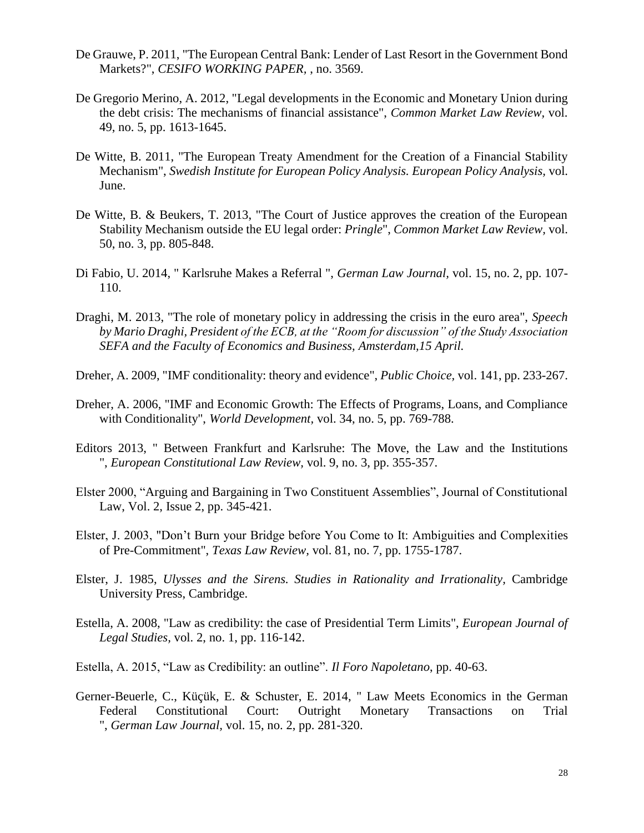- De Grauwe, P. 2011, "The European Central Bank: Lender of Last Resort in the Government Bond Markets?", *CESIFO WORKING PAPER,* , no. 3569.
- De Gregorio Merino, A. 2012, "Legal developments in the Economic and Monetary Union during the debt crisis: The mechanisms of financial assistance", *Common Market Law Review,* vol. 49, no. 5, pp. 1613-1645.
- De Witte, B. 2011, "The European Treaty Amendment for the Creation of a Financial Stability Mechanism", *Swedish Institute for European Policy Analysis. European Policy Analysis,* vol. June.
- De Witte, B. & Beukers, T. 2013, "The Court of Justice approves the creation of the European Stability Mechanism outside the EU legal order: *Pringle*", *Common Market Law Review,* vol. 50, no. 3, pp. 805-848.
- Di Fabio, U. 2014, " Karlsruhe Makes a Referral ", *German Law Journal,* vol. 15, no. 2, pp. 107- 110.
- Draghi, M. 2013, "The role of monetary policy in addressing the crisis in the euro area", *Speech by Mario Draghi, President of the ECB, at the "Room for discussion" of the Study Association SEFA and the Faculty of Economics and Business, Amsterdam,15 April.*
- Dreher, A. 2009, "IMF conditionality: theory and evidence", *Public Choice,* vol. 141, pp. 233-267.
- Dreher, A. 2006, "IMF and Economic Growth: The Effects of Programs, Loans, and Compliance with Conditionality", *World Development,* vol. 34, no. 5, pp. 769-788.
- Editors 2013, " Between Frankfurt and Karlsruhe: The Move, the Law and the Institutions ", *European Constitutional Law Review,* vol. 9, no. 3, pp. 355-357.
- Elster 2000, "Arguing and Bargaining in Two Constituent Assemblies", Journal of Constitutional Law, Vol. 2, Issue 2, pp. 345-421.
- Elster, J. 2003, "Don't Burn your Bridge before You Come to It: Ambiguities and Complexities of Pre-Commitment", *Texas Law Review,* vol. 81, no. 7, pp. 1755-1787.
- Elster, J. 1985, *Ulysses and the Sirens. Studies in Rationality and Irrationality,* Cambridge University Press, Cambridge.
- Estella, A. 2008, "Law as credibility: the case of Presidential Term Limits", *European Journal of Legal Studies,* vol. 2, no. 1, pp. 116-142.
- Estella, A. 2015, "Law as Credibility: an outline". *Il Foro Napoletano*, pp. 40-63.
- Gerner-Beuerle, C., Küçük, E. & Schuster, E. 2014, " Law Meets Economics in the German Federal Constitutional Court: Outright Monetary Transactions on Trial ", *German Law Journal,* vol. 15, no. 2, pp. 281-320.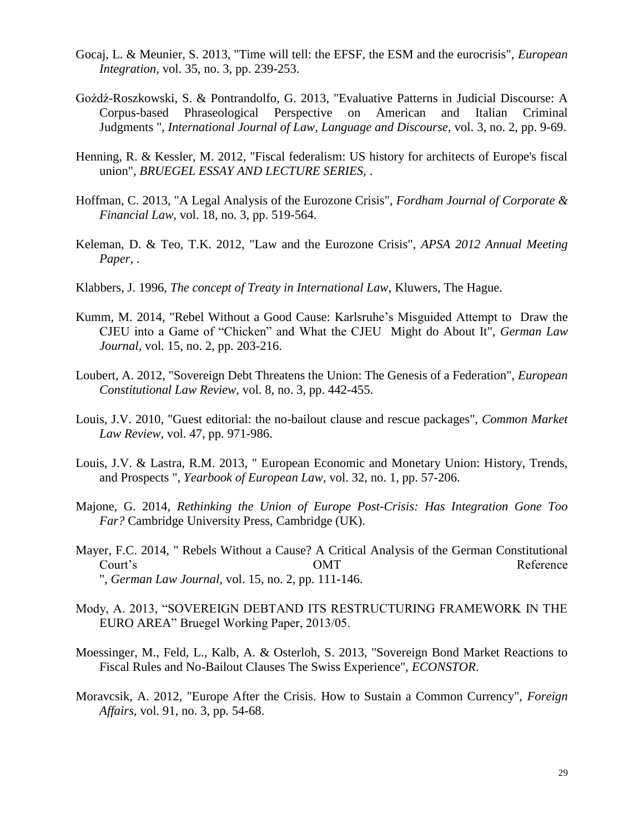- Gocaj, L. & Meunier, S. 2013, "Time will tell: the EFSF, the ESM and the eurocrisis", *European Integration,* vol. 35, no. 3, pp. 239-253.
- Goźdź-Roszkowski, S. & Pontrandolfo, G. 2013, "Evaluative Patterns in Judicial Discourse: A Corpus-based Phraseological Perspective on American and Italian Criminal Judgments ", *International Journal of Law, Language and Discourse,* vol. 3, no. 2, pp. 9-69.
- Henning, R. & Kessler, M. 2012, "Fiscal federalism: US history for architects of Europe's fiscal union", *BRUEGEL ESSAY AND LECTURE SERIES,* .
- Hoffman, C. 2013, "A Legal Analysis of the Eurozone Crisis", *Fordham Journal of Corporate & Financial Law,* vol. 18, no. 3, pp. 519-564.
- Keleman, D. & Teo, T.K. 2012, "Law and the Eurozone Crisis", *APSA 2012 Annual Meeting Paper,* .
- Klabbers, J. 1996, *The concept of Treaty in International Law,* Kluwers, The Hague.
- Kumm, M. 2014, "Rebel Without a Good Cause: Karlsruhe's Misguided Attempt to Draw the CJEU into a Game of "Chicken" and What the CJEU Might do About It", *German Law Journal,* vol. 15, no. 2, pp. 203-216.
- Loubert, A. 2012, "Sovereign Debt Threatens the Union: The Genesis of a Federation", *European Constitutional Law Review,* vol. 8, no. 3, pp. 442-455.
- Louis, J.V. 2010, "Guest editorial: the no-bailout clause and rescue packages", *Common Market Law Review,* vol. 47, pp. 971-986.
- Louis, J.V. & Lastra, R.M. 2013, " European Economic and Monetary Union: History, Trends, and Prospects ", *Yearbook of European Law,* vol. 32, no. 1, pp. 57-206.
- Majone, G. 2014, *Rethinking the Union of Europe Post-Crisis: Has Integration Gone Too Far?* Cambridge University Press, Cambridge (UK).
- Mayer, F.C. 2014, " Rebels Without a Cause? A Critical Analysis of the German Constitutional Court's Court's Court's Court's Reference ", *German Law Journal,* vol. 15, no. 2, pp. 111-146.
- Mody, A. 2013, "SOVEREIGN DEBTAND ITS RESTRUCTURING FRAMEWORK IN THE EURO AREA" Bruegel Working Paper, 2013/05.
- Moessinger, M., Feld, L., Kalb, A. & Osterloh, S. 2013, "Sovereign Bond Market Reactions to Fiscal Rules and No-Bailout Clauses The Swiss Experience", *ECONSTOR*.
- Moravcsik, A. 2012, "Europe After the Crisis. How to Sustain a Common Currency", *Foreign Affairs,* vol. 91, no. 3, pp. 54-68.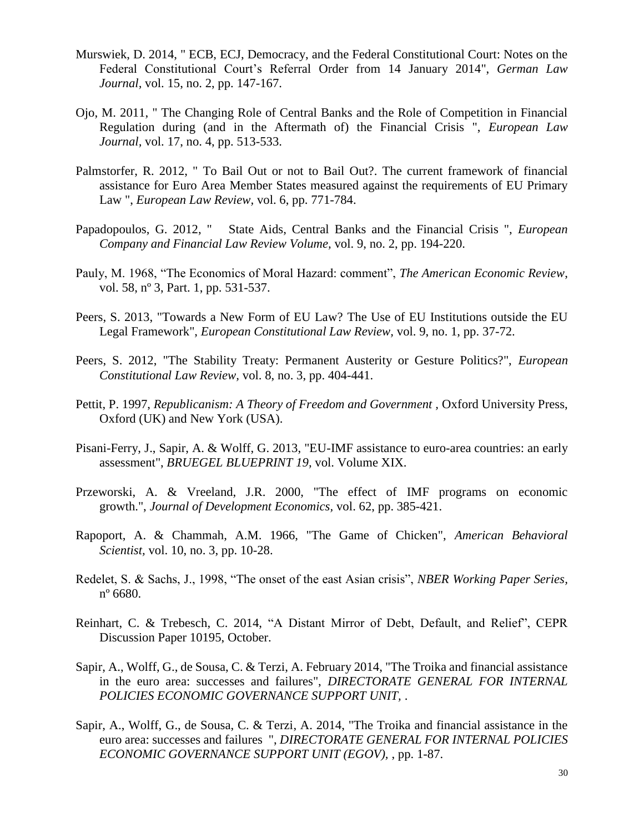- Murswiek, D. 2014, " ECB, ECJ, Democracy, and the Federal Constitutional Court: Notes on the Federal Constitutional Court's Referral Order from 14 January 2014", *German Law Journal,* vol. 15, no. 2, pp. 147-167.
- Ojo, M. 2011, " The Changing Role of Central Banks and the Role of Competition in Financial Regulation during (and in the Aftermath of) the Financial Crisis ", *European Law Journal,* vol. 17, no. 4, pp. 513-533.
- Palmstorfer, R. 2012, " To Bail Out or not to Bail Out?. The current framework of financial assistance for Euro Area Member States measured against the requirements of EU Primary Law ", *European Law Review,* vol. 6, pp. 771-784.
- Papadopoulos, G. 2012, " State Aids, Central Banks and the Financial Crisis ", *European Company and Financial Law Review Volume,* vol. 9, no. 2, pp. 194-220.
- Pauly, M. 1968, "The Economics of Moral Hazard: comment", *The American Economic Review*, vol. 58, nº 3, Part. 1, pp. 531-537.
- Peers, S. 2013, "Towards a New Form of EU Law? The Use of EU Institutions outside the EU Legal Framework", *European Constitutional Law Review,* vol. 9, no. 1, pp. 37-72.
- Peers, S. 2012, "The Stability Treaty: Permanent Austerity or Gesture Politics?", *European Constitutional Law Review,* vol. 8, no. 3, pp. 404-441.
- Pettit, P. 1997, *Republicanism: A Theory of Freedom and Government ,* Oxford University Press, Oxford (UK) and New York (USA).
- Pisani-Ferry, J., Sapir, A. & Wolff, G. 2013, "EU-IMF assistance to euro-area countries: an early assessment", *BRUEGEL BLUEPRINT 19,* vol. Volume XIX.
- Przeworski, A. & Vreeland, J.R. 2000, "The effect of IMF programs on economic growth.", *Journal of Development Economics,* vol. 62, pp. 385-421.
- Rapoport, A. & Chammah, A.M. 1966, "The Game of Chicken", *American Behavioral Scientist,* vol. 10, no. 3, pp. 10-28.
- Redelet, S. & Sachs, J., 1998, "The onset of the east Asian crisis", *NBER Working Paper Series,* nº 6680.
- Reinhart, C. & Trebesch, C. 2014, "A Distant Mirror of Debt, Default, and Relief", CEPR Discussion Paper 10195, October.
- Sapir, A., Wolff, G., de Sousa, C. & Terzi, A. February 2014, "The Troika and financial assistance in the euro area: successes and failures", *DIRECTORATE GENERAL FOR INTERNAL POLICIES ECONOMIC GOVERNANCE SUPPORT UNIT,* .
- Sapir, A., Wolff, G., de Sousa, C. & Terzi, A. 2014, "The Troika and financial assistance in the euro area: successes and failures ", *DIRECTORATE GENERAL FOR INTERNAL POLICIES ECONOMIC GOVERNANCE SUPPORT UNIT (EGOV),* , pp. 1-87.